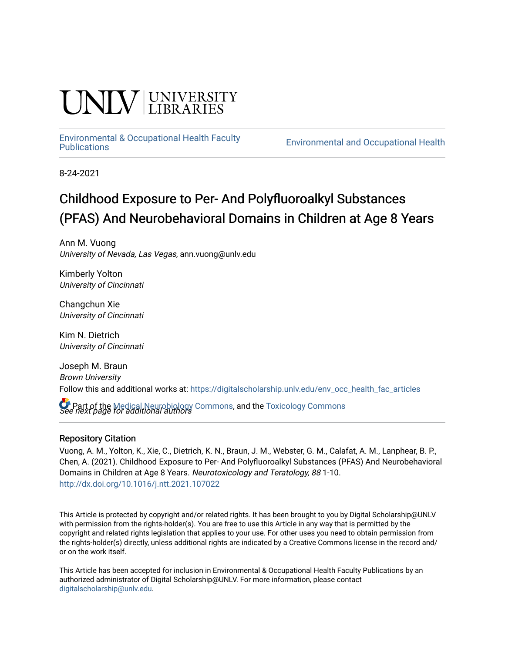# **INIVERSITY**

# [Environmental & Occupational Health Faculty](https://digitalscholarship.unlv.edu/env_occ_health_fac_articles)

**Environmental and Occupational Health** 

8-24-2021

# Childhood Exposure to Per- And Polyfluoroalkyl Substances (PFAS) And Neurobehavioral Domains in Children at Age 8 Years

Ann M. Vuong University of Nevada, Las Vegas, ann.vuong@unlv.edu

Kimberly Yolton University of Cincinnati

Changchun Xie University of Cincinnati

Kim N. Dietrich University of Cincinnati

Joseph M. Braun Brown University Follow this and additional works at: [https://digitalscholarship.unlv.edu/env\\_occ\\_health\\_fac\\_articles](https://digitalscholarship.unlv.edu/env_occ_health_fac_articles?utm_source=digitalscholarship.unlv.edu%2Fenv_occ_health_fac_articles%2F684&utm_medium=PDF&utm_campaign=PDFCoverPages) 

**C** Part of the [Medical Neurobiology Commons,](http://network.bepress.com/hgg/discipline/674?utm_source=digitalscholarship.unlv.edu%2Fenv_occ_health_fac_articles%2F684&utm_medium=PDF&utm_campaign=PDFCoverPages) and the [Toxicology Commons](http://network.bepress.com/hgg/discipline/67?utm_source=digitalscholarship.unlv.edu%2Fenv_occ_health_fac_articles%2F684&utm_medium=PDF&utm_campaign=PDFCoverPages)<br>See next page for additional authors

### Repository Citation

Vuong, A. M., Yolton, K., Xie, C., Dietrich, K. N., Braun, J. M., Webster, G. M., Calafat, A. M., Lanphear, B. P., Chen, A. (2021). Childhood Exposure to Per- And Polyfluoroalkyl Substances (PFAS) And Neurobehavioral Domains in Children at Age 8 Years. Neurotoxicology and Teratology, 88 1-10. <http://dx.doi.org/10.1016/j.ntt.2021.107022>

This Article is protected by copyright and/or related rights. It has been brought to you by Digital Scholarship@UNLV with permission from the rights-holder(s). You are free to use this Article in any way that is permitted by the copyright and related rights legislation that applies to your use. For other uses you need to obtain permission from the rights-holder(s) directly, unless additional rights are indicated by a Creative Commons license in the record and/ or on the work itself.

This Article has been accepted for inclusion in Environmental & Occupational Health Faculty Publications by an authorized administrator of Digital Scholarship@UNLV. For more information, please contact [digitalscholarship@unlv.edu](mailto:digitalscholarship@unlv.edu).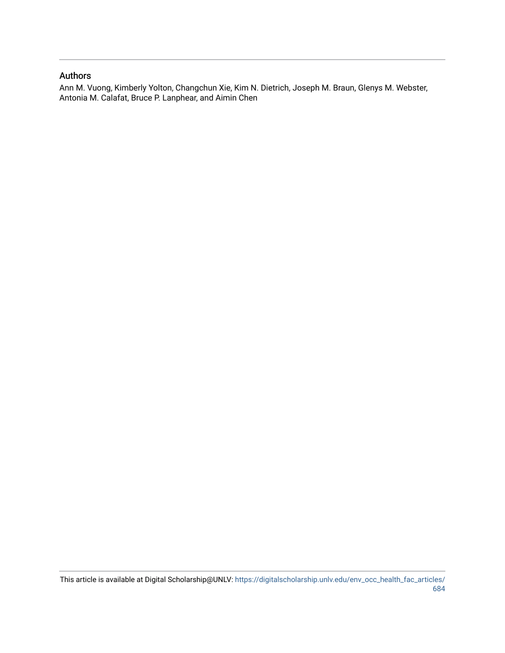### Authors

Ann M. Vuong, Kimberly Yolton, Changchun Xie, Kim N. Dietrich, Joseph M. Braun, Glenys M. Webster, Antonia M. Calafat, Bruce P. Lanphear, and Aimin Chen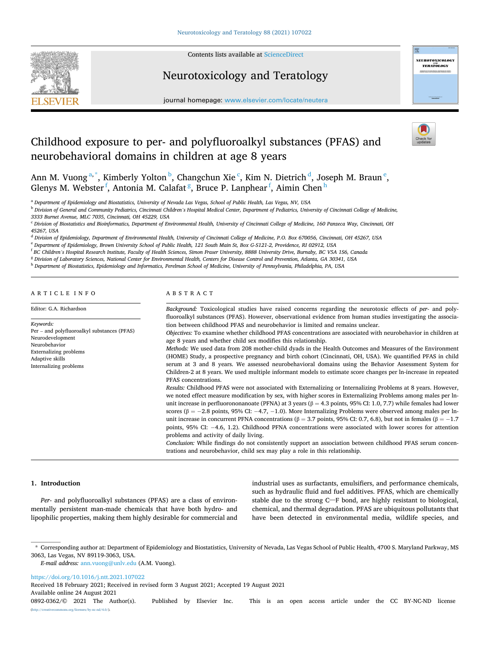

Contents lists available at [ScienceDirect](www.sciencedirect.com/science/journal/08920362)

# Neurotoxicology and Teratology



journal homepage: [www.elsevier.com/locate/neutera](https://www.elsevier.com/locate/neutera) 

# Childhood exposure to per- and polyfluoroalkyl substances (PFAS) and neurobehavioral domains in children at age 8 years

Ann M. Vuong<sup>a,\*</sup>, Kimberly Yolton <sup>b</sup>, Changchun Xie <sup>c</sup>, Kim N. Dietrich <sup>d</sup>, Joseph M. Braun <sup>e</sup>, Glenys M. Webster <sup>f</sup>, Antonia M. Calafat <sup>g</sup>, Bruce P. Lanphear <sup>f</sup>, Aimin Chen <sup>h</sup>

<sup>a</sup> *Department of Epidemiology and Biostatistics, University of Nevada Las Vegas, School of Public Health, Las Vegas, NV, USA* 

<sup>b</sup> *Division of General and Community Pediatrics, Cincinnati Children's Hospital Medical Center, Department of Pediatrics, University of Cincinnati College of Medicine,* 

*3333 Burnet Avenue, MLC 7035, Cincinnati, OH 45229, USA* 

<sup>c</sup> *Division of Biostatistics and Bioinformatics, Department of Environmental Health, University of Cincinnati College of Medicine, 160 Panzeca Way, Cincinnati, OH 45267, USA* 

<sup>d</sup> *Division of Epidemiology, Department of Environmental Health, University of Cincinnati College of Medicine, P.O. Box 670056, Cincinnati, OH 45267, USA* 

<sup>e</sup> *Department of Epidemiology, Brown University School of Public Health, 121 South Main St, Box G-S121-2, Providence, RI 02912, USA* 

<sup>f</sup> *BC Children's Hospital Research Institute, Faculty of Health Sciences, Simon Fraser University, 8888 University Drive, Burnaby, BC V5A 1S6, Canada* 

<sup>g</sup> *Division of Laboratory Sciences, National Center for Environmental Health, Centers for Disease Control and Prevention, Atlanta, GA 30341, USA* 

<sup>h</sup> *Department of Biostatistics, Epidemiology and Informatics, Perelman School of Medicine, University of Pennsylvania, Philadelphia, PA, USA* 

ARTICLE INFO

#### ABSTRACT

| Editor: G.A. Richardson                                                                                                                                                     | Background: Toxicological studies have raised concerns regarding the neurotoxic effects of per- and poly-<br>fluoroalkyl substances (PFAS). However, observational evidence from human studies investigating the associa-                                                                                                                                                                                                                                                                                                                                                                                                                                                                                                                                                                                                                                                                                                                                                                                                                                                                                                                                                                                                                                                                                                                                                                                                                                                                                                                                                                                                                  |
|-----------------------------------------------------------------------------------------------------------------------------------------------------------------------------|--------------------------------------------------------------------------------------------------------------------------------------------------------------------------------------------------------------------------------------------------------------------------------------------------------------------------------------------------------------------------------------------------------------------------------------------------------------------------------------------------------------------------------------------------------------------------------------------------------------------------------------------------------------------------------------------------------------------------------------------------------------------------------------------------------------------------------------------------------------------------------------------------------------------------------------------------------------------------------------------------------------------------------------------------------------------------------------------------------------------------------------------------------------------------------------------------------------------------------------------------------------------------------------------------------------------------------------------------------------------------------------------------------------------------------------------------------------------------------------------------------------------------------------------------------------------------------------------------------------------------------------------|
| Keywords:<br>Per - and polyfluoroalkyl substances (PFAS)<br>Neurodevelopment<br>Neurobehavior<br><b>Externalizing problems</b><br>Adaptive skills<br>Internalizing problems | tion between childhood PFAS and neurobehavior is limited and remains unclear.<br>Objectives: To examine whether childhood PFAS concentrations are associated with neurobehavior in children at<br>age 8 years and whether child sex modifies this relationship.<br>Methods: We used data from 208 mother-child dyads in the Health Outcomes and Measures of the Environment<br>(HOME) Study, a prospective pregnancy and birth cohort (Cincinnati, OH, USA). We quantified PFAS in child<br>serum at 3 and 8 years. We assessed neurobehavioral domains using the Behavior Assessment System for<br>Children-2 at 8 years. We used multiple informant models to estimate score changes per ln-increase in repeated<br>PFAS concentrations.<br>Results: Childhood PFAS were not associated with Externalizing or Internalizing Problems at 8 years. However,<br>we noted effect measure modification by sex, with higher scores in Externalizing Problems among males per ln-<br>unit increase in perfluorononanoate (PFNA) at 3 years ( $\beta = 4.3$ points, 95% CI: 1.0, 7.7) while females had lower<br>scores ( $\beta = -2.8$ points, 95% CI: -4.7, -1.0). More Internalizing Problems were observed among males per ln-<br>unit increase in concurrent PFNA concentrations ( $\beta = 3.7$ points, 95% CI: 0.7, 6.8), but not in females ( $\beta = -1.7$<br>points, $95\%$ CI: $-4.6$ , 1.2). Childhood PFNA concentrations were associated with lower scores for attention<br>problems and activity of daily living.<br>Conclusion: While findings do not consistently support an association between childhood PFAS serum concen- |
|                                                                                                                                                                             |                                                                                                                                                                                                                                                                                                                                                                                                                                                                                                                                                                                                                                                                                                                                                                                                                                                                                                                                                                                                                                                                                                                                                                                                                                                                                                                                                                                                                                                                                                                                                                                                                                            |

trations and neurobehavior, child sex may play a role in this relationship.

#### **1. Introduction**

*Per*- and polyfluoroalkyl substances (PFAS) are a class of environmentally persistent man-made chemicals that have both hydro- and lipophilic properties, making them highly desirable for commercial and

industrial uses as surfactants, emulsifiers, and performance chemicals, such as hydraulic fluid and fuel additives. PFAS, which are chemically stable due to the strong C–F bond, are highly resistant to biological, chemical, and thermal degradation. PFAS are ubiquitous pollutants that have been detected in environmental media, wildlife species, and

<https://doi.org/10.1016/j.ntt.2021.107022>

Received 18 February 2021; Received in revised form 3 August 2021; Accepted 19 August 2021

Available online 24 August 2021

<sup>\*</sup> Corresponding author at: Department of Epidemiology and Biostatistics, University of Nevada, Las Vegas School of Public Health, 4700 S. Maryland Parkway, MS 3063, Las Vegas, NV 89119-3063, USA.

*E-mail address:* [ann.vuong@unlv.edu](mailto:ann.vuong@unlv.edu) (A.M. Vuong).

<sup>0892-0362/© 2021</sup> The Author(s). Published by Elsevier Inc. This is an open access article under the CC BY-NC-ND license [\(http://creativecommons.org/licenses/by-nc-nd/4.0/\)](http://creativecommons.org/licenses/by-nc-nd/4.0/).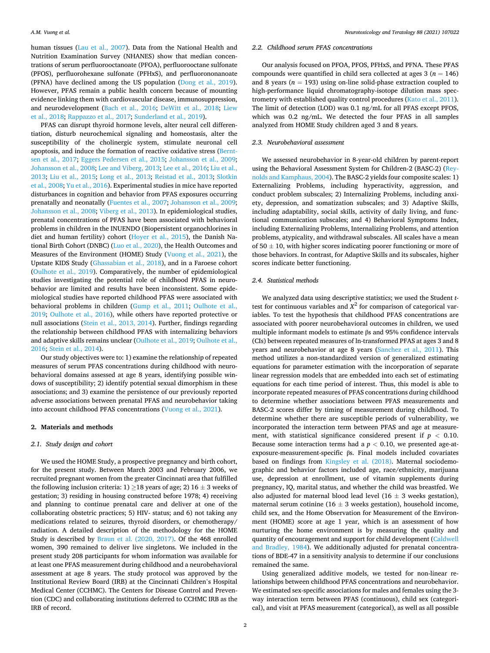human tissues ([Lau et al., 2007\)](#page-10-0). Data from the National Health and Nutrition Examination Survey (NHANES) show that median concentrations of serum perfluorooctanoate (PFOA), perfluorooctane sulfonate (PFOS), perfluorohexane sulfonate (PFHxS), and perfluorononanoate (PFNA) have declined among the US population [\(Dong et al., 2019](#page-10-0)). However, PFAS remain a public health concern because of mounting evidence linking them with cardiovascular disease, immunosuppression, and neurodevelopment ([Bach et al., 2016;](#page-10-0) [DeWitt et al., 2018](#page-10-0); [Liew](#page-10-0)  [et al., 2018;](#page-10-0) [Rappazzo et al., 2017;](#page-11-0) [Sunderland et al., 2019](#page-11-0)).

PFAS can disrupt thyroid hormone levels, alter neural cell differentiation, disturb neurochemical signaling and homeostasis, alter the susceptibility of the cholinergic system, stimulate neuronal cell apoptosis, and induce the formation of reactive oxidative stress [\(Bernt](#page-10-0)[sen et al., 2017](#page-10-0); [Eggers Pedersen et al., 2015;](#page-10-0) [Johansson et al., 2009](#page-10-0); [Johansson et al., 2008](#page-10-0); [Lee and Viberg, 2013](#page-10-0); [Lee et al., 2016; Liu et al.,](#page-10-0)  [2013;](#page-10-0) [Liu et al., 2015](#page-10-0); [Long et al., 2013](#page-10-0); [Reistad et al., 2013;](#page-11-0) [Slotkin](#page-11-0)  [et al., 2008; Yu et al., 2016\)](#page-11-0). Experimental studies in mice have reported disturbances in cognition and behavior from PFAS exposures occurring prenatally and neonatally [\(Fuentes et al., 2007; Johansson et al., 2009](#page-10-0); [Johansson et al., 2008](#page-10-0); [Viberg et al., 2013\)](#page-11-0). In epidemiological studies, prenatal concentrations of PFAS have been associated with behavioral problems in children in the INUENDO (Biopersistent organochlorines in diet and human fertility) cohort ([Hoyer et al., 2015](#page-10-0)), the Danish National Birth Cohort (DNBC) ([Luo et al., 2020\)](#page-10-0), the Health Outcomes and Measures of the Environment (HOME) Study [\(Vuong et al., 2021\)](#page-11-0), the Upstate KIDS Study ([Ghassabian et al., 2018](#page-10-0)), and in a Faroese cohort ([Oulhote et al., 2019](#page-11-0)). Comparatively, the number of epidemiological studies investigating the potential role of childhood PFAS in neurobehavior are limited and results have been inconsistent. Some epidemiological studies have reported childhood PFAS were associated with behavioral problems in children ([Gump et al., 2011](#page-10-0); [Oulhote et al.,](#page-11-0)  [2019;](#page-11-0) [Oulhote et al., 2016\)](#page-11-0), while others have reported protective or null associations ([Stein et al., 2013, 2014](#page-11-0)). Further, findings regarding the relationship between childhood PFAS with internalizing behaviors and adaptive skills remains unclear [\(Oulhote et al., 2019; Oulhote et al.,](#page-11-0)  [2016; Stein et al., 2014\)](#page-11-0).

Our study objectives were to: 1) examine the relationship of repeated measures of serum PFAS concentrations during childhood with neurobehavioral domains assessed at age 8 years, identifying possible windows of susceptibility; 2) identify potential sexual dimorphism in these associations; and 3) examine the persistence of our previously reported adverse associations between prenatal PFAS and neurobehavior taking into account childhood PFAS concentrations ([Vuong et al., 2021](#page-11-0)).

#### **2. Materials and methods**

#### *2.1. Study design and cohort*

We used the HOME Study, a prospective pregnancy and birth cohort, for the present study. Between March 2003 and February 2006, we recruited pregnant women from the greater Cincinnati area that fulfilled the following inclusion criteria: 1)  $\geq$  18 years of age; 2) 16  $\pm$  3 weeks of gestation; 3) residing in housing constructed before 1978; 4) receiving and planning to continue prenatal care and deliver at one of the collaborating obstetric practices; 5) HIV- status; and 6) not taking any medications related to seizures, thyroid disorders, or chemotherapy/ radiation. A detailed description of the methodology for the HOME Study is described by [Braun et al. \(2020, 2017\).](#page-10-0) Of the 468 enrolled women, 390 remained to deliver live singletons. We included in the present study 208 participants for whom information was available for at least one PFAS measurement during childhood and a neurobehavioral assessment at age 8 years. The study protocol was approved by the Institutional Review Board (IRB) at the Cincinnati Children's Hospital Medical Center (CCHMC). The Centers for Disease Control and Prevention (CDC) and collaborating institutions deferred to CCHMC IRB as the IRB of record.

#### *2.2. Childhood serum PFAS concentrations*

Our analysis focused on PFOA, PFOS, PFHxS, and PFNA. These PFAS compounds were quantified in child sera collected at ages  $3 (n = 146)$ and 8 years ( $n = 193$ ) using on-line solid-phase extraction coupled to high-performance liquid chromatography-isotope dilution mass spectrometry with established quality control procedures [\(Kato et al., 2011](#page-10-0)). The limit of detection (LOD) was 0.1 ng/mL for all PFAS except PFOS, which was 0.2 ng/mL. We detected the four PFAS in all samples analyzed from HOME Study children aged 3 and 8 years.

#### *2.3. Neurobehavioral assessment*

We assessed neurobehavior in 8-year-old children by parent-report using the Behavioral Assessment System for Children-2 (BASC-2) ([Rey](#page-11-0)[nolds and Kamphaus, 2004](#page-11-0)). The BASC-2 yields four composite scales: 1) Externalizing Problems, including hyperactivity, aggression, and conduct problem subscales; 2) Internalizing Problems, including anxiety, depression, and somatization subscales; and 3) Adaptive Skills, including adaptability, social skills, activity of daily living, and functional communication subscales; and 4) Behavioral Symptoms Index, including Externalizing Problems, Internalizing Problems, and attention problems, atypicality, and withdrawal subscales. All scales have a mean of  $50 \pm 10$ , with higher scores indicating poorer functioning or more of those behaviors. In contrast, for Adaptive Skills and its subscales, higher scores indicate better functioning.

#### *2.4. Statistical methods*

We analyzed data using descriptive statistics; we used the Student *t*test for continuous variables and  $X^2$  for comparison of categorical variables. To test the hypothesis that childhood PFAS concentrations are associated with poorer neurobehavioral outcomes in children, we used multiple informant models to estimate βs and 95% confidence intervals (CIs) between repeated measures of ln-transformed PFAS at ages 3 and 8 years and neurobehavior at age 8 years [\(Sanchez et al., 2011\)](#page-11-0). This method utilizes a non-standardized version of generalized estimating equations for parameter estimation with the incorporation of separate linear regression models that are embedded into each set of estimating equations for each time period of interest. Thus, this model is able to incorporate repeated measures of PFAS concentrations during childhood to determine whether associations between PFAS measurements and BASC-2 scores differ by timing of measurement during childhood. To determine whether there are susceptible periods of vulnerability, we incorporated the interaction term between PFAS and age at measurement, with statistical significance considered present if *p <* 0.10. Because some interaction terms had a  $p < 0.10$ , we presented age-atexposure-measurement-specific βs. Final models included covariates based on findings from [Kingsley et al. \(2018\)](#page-10-0). Maternal sociodemographic and behavior factors included age, race/ethnicity, marijuana use, depression at enrollment, use of vitamin supplements during pregnancy, IQ, marital status, and whether the child was breastfed. We also adjusted for maternal blood lead level (16  $\pm$  3 weeks gestation), maternal serum cotinine (16  $\pm$  3 weeks gestation), household income, child sex, and the Home Observation for Measurement of the Environment (HOME) score at age 1 year, which is an assessment of how nurturing the home environment is by measuring the quality and quantity of encouragement and support for child development ([Caldwell](#page-10-0)  [and Bradley, 1984](#page-10-0)). We additionally adjusted for prenatal concentrations of BDE-47 in a sensitivity analysis to determine if our conclusions remained the same.

Using generalized additive models, we tested for non-linear relationships between childhood PFAS concentrations and neurobehavior. We estimated sex-specific associations for males and females using the 3 way interaction term between PFAS (continuous), child sex (categorical), and visit at PFAS measurement (categorical), as well as all possible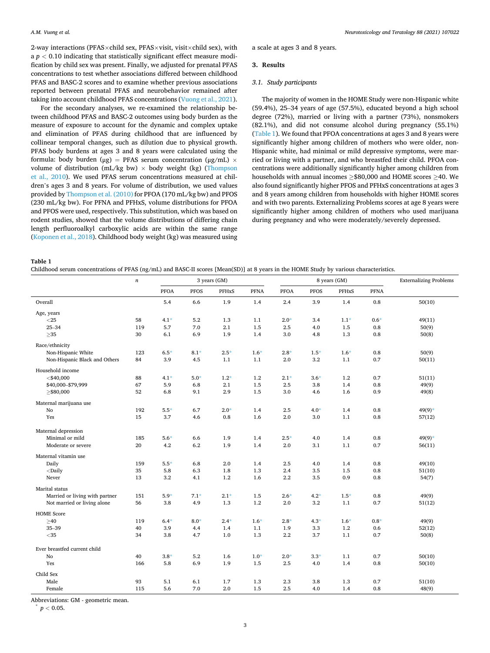2-way interactions (PFAS $\times$ child sex, PFAS $\times$ visit, visit $\times$ child sex), with a  $p < 0.10$  indicating that statistically significant effect measure modification by child sex was present. Finally, we adjusted for prenatal PFAS concentrations to test whether associations differed between childhood PFAS and BASC-2 scores and to examine whether previous associations reported between prenatal PFAS and neurobehavior remained after taking into account childhood PFAS concentrations [\(Vuong et al., 2021](#page-11-0)).

For the secondary analyses, we re-examined the relationship between childhood PFAS and BASC-2 outcomes using body burden as the measure of exposure to account for the dynamic and complex uptake and elimination of PFAS during childhood that are influenced by collinear temporal changes, such as dilution due to physical growth. PFAS body burdens at ages 3 and 8 years were calculated using the formula: body burden (μg) = PFAS serum concentration (μg/mL)  $\times$ volume of distribution (mL/kg bw)  $\times$  body weight (kg) (Thompson [et al., 2010](#page-11-0)). We used PFAS serum concentrations measured at children's ages 3 and 8 years. For volume of distribution, we used values provided by [Thompson et al. \(2010\)](#page-11-0) for PFOA (170 mL/kg bw) and PFOS (230 mL/kg bw). For PFNA and PFHxS, volume distributions for PFOA and PFOS were used, respectively. This substitution, which was based on rodent studies, showed that the volume distributions of differing chain length perfluoroalkyl carboxylic acids are within the same range ([Koponen et al., 2018](#page-10-0)). Childhood body weight (kg) was measured using

a scale at ages 3 and 8 years.

#### **3. Results**

#### *3.1. Study participants*

The majority of women in the HOME Study were non-Hispanic white (59.4%), 25–34 years of age (57.5%), educated beyond a high school degree (72%), married or living with a partner (73%), nonsmokers (82.1%), and did not consume alcohol during pregnancy (55.1%) (Table 1). We found that PFOA concentrations at ages 3 and 8 years were significantly higher among children of mothers who were older, non-Hispanic white, had minimal or mild depressive symptoms, were married or living with a partner, and who breastfed their child. PFOA concentrations were additionally significantly higher among children from households with annual incomes ≥\$80,000 and HOME scores ≥40. We also found significantly higher PFOS and PFHxS concentrations at ages 3 and 8 years among children from households with higher HOME scores and with two parents. Externalizing Problems scores at age 8 years were significantly higher among children of mothers who used marijuana during pregnancy and who were moderately/severely depressed.

**Table 1** 

Childhood serum concentrations of PFAS (ng/mL) and BASC-II scores [Mean(SD)] at 8 years in the HOME Study by various characteristics.

| <b>PFOA</b><br><b>PFOS</b><br><b>PFHxS</b><br>PFNA<br><b>PFOA</b><br><b>PFOS</b><br>PFHxS<br><b>PFNA</b><br>1.9<br>Overall<br>5.4<br>6.6<br>1.4<br>2.4<br>3.9<br>1.4<br>0.8<br>50(10)<br>Age, years<br>$<$ 25<br>58<br>$4.1*$<br>5.2<br>1.3<br>$2.0*$<br>$0.6*$<br>1.1<br>3.4<br>$1.1*$<br>49(11)<br>5.7<br>2.1<br>1.5<br>$25 - 34$<br>119<br>7.0<br>2.5<br>4.0<br>1.5<br>0.8<br>50(9)<br>${\geq}35$<br>30<br>6.1<br>6.9<br>1.9<br>1.4<br>$3.0\,$<br>4.8<br>1.3<br>$0.8\,$<br>50(8)<br>Race/ethnicity<br>Non-Hispanic White<br>123<br>$6.5*$<br>$8.1*$<br>$2.5*$<br>$1.6*$<br>$2.8*$<br>$1.5*$<br>$1.6*$<br>$0.8\,$<br>50(9)<br>3.2<br>0.7<br>Non-Hispanic Black and Others<br>84<br>3.9<br>4.5<br>1.1<br>1.1<br>2.0<br>1.1<br>50(11)<br>Household income<br>$<$ \$40,000<br>88<br>$4.1*$<br>$5.0*$<br>$1.2*$<br>1.2<br>$2.1*$<br>$3.6*$<br>1.2<br>0.7<br>51(11)<br>\$40,000-\$79,999<br>67<br>5.9<br>6.8<br>2.1<br>1.5<br>2.5<br>3.8<br>1.4<br>0.8<br>49(9)<br>52<br>6.8<br>2.9<br>1.5<br>$3.0\,$<br>1.6<br>$\geq$ \$80,000<br>9.1<br>4.6<br>0.9<br>49(8)<br>Maternal marijuana use<br>$5.5*$<br>$2.0*$<br>No<br>192<br>6.7<br>1.4<br>2.5<br>$4.0*$<br>1.4<br>0.8<br>$49(9)*$<br>Yes<br>2.0<br>1.1<br>15<br>3.7<br>4.6<br>0.8<br>1.6<br>3.0<br>0.8<br>57(12)<br>Maternal depression<br>Minimal or mild<br>$5.6*$<br>1.9<br>$2.5*$<br>4.0<br>1.4<br>$49(9)*$<br>185<br>6.6<br>1.4<br>$0.8\,$<br>4.2<br>6.2<br>1.9<br>1.4<br>1.1<br>0.7<br>20<br>2.0<br>3.1<br>Moderate or severe<br>56(11)<br>Maternal vitamin use<br>$5.5*$<br>Daily<br>159<br>6.8<br>2.0<br>1.4<br>2.5<br>4.0<br>1.4<br>0.8<br>49(10)<br>$<$ Daily<br>35<br>5.8<br>6.3<br>1.8<br>1.3<br>2.4<br>3.5<br>1.5<br>$0.8\,$<br>51(10)<br>13<br>3.2<br>$2.2\,$<br>0.9<br>Never<br>4.1<br>1.2<br>1.6<br>3.5<br>0.8<br>54(7)<br>Marital status<br>$5.9*$<br>$7.1*$<br>$2.1*$<br>1.5<br>$4.2*$<br>Married or living with partner<br>151<br>$2.6*$<br>$1.5*$<br>$0.8\,$<br>49(9)<br>Not married or living alone<br>56<br>3.8<br>4.9<br>1.3<br>1.2<br>2.0<br>3.2<br>1.1<br>0.7<br>51(12)<br><b>HOME Score</b><br>$8.0*$<br>$2.4*$<br>$1.6*$<br>$4.3*$<br>$1.6*$<br>$\geq 40$<br>119<br>$6.4*$<br>$2.8*$<br>$0.8*$<br>49(9)<br>$35 - 39$<br>3.9<br>1.1<br>3.3<br>1.2<br>40<br>4.4<br>1.4<br>1.9<br>0.6<br>52(12)<br>1.3<br>$2.2\,$<br>$<$ 35<br>34<br>3.8<br>4.7<br>1.0<br>3.7<br>1.1<br>0.7<br>50(8)<br>Ever breastfed current child<br>$3.8*$<br>5.2<br>$1.0*$<br>$2.0*$<br>$3.3*$<br>No<br>40<br>1.6<br>1.1<br>0.7<br>50(10)<br>6.9<br>1.4<br>Yes<br>166<br>5.8<br>1.9<br>1.5<br>2.5<br>4.0<br>0.8<br>50(10)<br>Child Sex<br>Male<br>93<br>5.1<br>6.1<br>2.3<br>1.7<br>1.3<br>3.8<br>1.3<br>0.7<br>51(10)<br>7.0<br>115<br>5.6<br>2.0<br>1.5<br>2.5<br>4.0<br>1.4<br>0.8<br>48(9)<br>Female | ້<br>$\it n$ |  | 3 years (GM) |  | 8 years (GM) | <b>Externalizing Problems</b> |
|----------------------------------------------------------------------------------------------------------------------------------------------------------------------------------------------------------------------------------------------------------------------------------------------------------------------------------------------------------------------------------------------------------------------------------------------------------------------------------------------------------------------------------------------------------------------------------------------------------------------------------------------------------------------------------------------------------------------------------------------------------------------------------------------------------------------------------------------------------------------------------------------------------------------------------------------------------------------------------------------------------------------------------------------------------------------------------------------------------------------------------------------------------------------------------------------------------------------------------------------------------------------------------------------------------------------------------------------------------------------------------------------------------------------------------------------------------------------------------------------------------------------------------------------------------------------------------------------------------------------------------------------------------------------------------------------------------------------------------------------------------------------------------------------------------------------------------------------------------------------------------------------------------------------------------------------------------------------------------------------------------------------------------------------------------------------------------------------------------------------------------------------------------------------------------------------------------------------------------------------------------------------------------------------------------------------------------------------------------------------------------------------------------------------------------------------------------------------------------------------------------------------------------------------------------------------------------------------------------------------------------------------------------------------------------------------------------------------------------------------------|--------------|--|--------------|--|--------------|-------------------------------|
|                                                                                                                                                                                                                                                                                                                                                                                                                                                                                                                                                                                                                                                                                                                                                                                                                                                                                                                                                                                                                                                                                                                                                                                                                                                                                                                                                                                                                                                                                                                                                                                                                                                                                                                                                                                                                                                                                                                                                                                                                                                                                                                                                                                                                                                                                                                                                                                                                                                                                                                                                                                                                                                                                                                                                    |              |  |              |  |              |                               |
|                                                                                                                                                                                                                                                                                                                                                                                                                                                                                                                                                                                                                                                                                                                                                                                                                                                                                                                                                                                                                                                                                                                                                                                                                                                                                                                                                                                                                                                                                                                                                                                                                                                                                                                                                                                                                                                                                                                                                                                                                                                                                                                                                                                                                                                                                                                                                                                                                                                                                                                                                                                                                                                                                                                                                    |              |  |              |  |              |                               |
|                                                                                                                                                                                                                                                                                                                                                                                                                                                                                                                                                                                                                                                                                                                                                                                                                                                                                                                                                                                                                                                                                                                                                                                                                                                                                                                                                                                                                                                                                                                                                                                                                                                                                                                                                                                                                                                                                                                                                                                                                                                                                                                                                                                                                                                                                                                                                                                                                                                                                                                                                                                                                                                                                                                                                    |              |  |              |  |              |                               |
|                                                                                                                                                                                                                                                                                                                                                                                                                                                                                                                                                                                                                                                                                                                                                                                                                                                                                                                                                                                                                                                                                                                                                                                                                                                                                                                                                                                                                                                                                                                                                                                                                                                                                                                                                                                                                                                                                                                                                                                                                                                                                                                                                                                                                                                                                                                                                                                                                                                                                                                                                                                                                                                                                                                                                    |              |  |              |  |              |                               |
|                                                                                                                                                                                                                                                                                                                                                                                                                                                                                                                                                                                                                                                                                                                                                                                                                                                                                                                                                                                                                                                                                                                                                                                                                                                                                                                                                                                                                                                                                                                                                                                                                                                                                                                                                                                                                                                                                                                                                                                                                                                                                                                                                                                                                                                                                                                                                                                                                                                                                                                                                                                                                                                                                                                                                    |              |  |              |  |              |                               |
|                                                                                                                                                                                                                                                                                                                                                                                                                                                                                                                                                                                                                                                                                                                                                                                                                                                                                                                                                                                                                                                                                                                                                                                                                                                                                                                                                                                                                                                                                                                                                                                                                                                                                                                                                                                                                                                                                                                                                                                                                                                                                                                                                                                                                                                                                                                                                                                                                                                                                                                                                                                                                                                                                                                                                    |              |  |              |  |              |                               |
|                                                                                                                                                                                                                                                                                                                                                                                                                                                                                                                                                                                                                                                                                                                                                                                                                                                                                                                                                                                                                                                                                                                                                                                                                                                                                                                                                                                                                                                                                                                                                                                                                                                                                                                                                                                                                                                                                                                                                                                                                                                                                                                                                                                                                                                                                                                                                                                                                                                                                                                                                                                                                                                                                                                                                    |              |  |              |  |              |                               |
|                                                                                                                                                                                                                                                                                                                                                                                                                                                                                                                                                                                                                                                                                                                                                                                                                                                                                                                                                                                                                                                                                                                                                                                                                                                                                                                                                                                                                                                                                                                                                                                                                                                                                                                                                                                                                                                                                                                                                                                                                                                                                                                                                                                                                                                                                                                                                                                                                                                                                                                                                                                                                                                                                                                                                    |              |  |              |  |              |                               |
|                                                                                                                                                                                                                                                                                                                                                                                                                                                                                                                                                                                                                                                                                                                                                                                                                                                                                                                                                                                                                                                                                                                                                                                                                                                                                                                                                                                                                                                                                                                                                                                                                                                                                                                                                                                                                                                                                                                                                                                                                                                                                                                                                                                                                                                                                                                                                                                                                                                                                                                                                                                                                                                                                                                                                    |              |  |              |  |              |                               |
|                                                                                                                                                                                                                                                                                                                                                                                                                                                                                                                                                                                                                                                                                                                                                                                                                                                                                                                                                                                                                                                                                                                                                                                                                                                                                                                                                                                                                                                                                                                                                                                                                                                                                                                                                                                                                                                                                                                                                                                                                                                                                                                                                                                                                                                                                                                                                                                                                                                                                                                                                                                                                                                                                                                                                    |              |  |              |  |              |                               |
|                                                                                                                                                                                                                                                                                                                                                                                                                                                                                                                                                                                                                                                                                                                                                                                                                                                                                                                                                                                                                                                                                                                                                                                                                                                                                                                                                                                                                                                                                                                                                                                                                                                                                                                                                                                                                                                                                                                                                                                                                                                                                                                                                                                                                                                                                                                                                                                                                                                                                                                                                                                                                                                                                                                                                    |              |  |              |  |              |                               |
|                                                                                                                                                                                                                                                                                                                                                                                                                                                                                                                                                                                                                                                                                                                                                                                                                                                                                                                                                                                                                                                                                                                                                                                                                                                                                                                                                                                                                                                                                                                                                                                                                                                                                                                                                                                                                                                                                                                                                                                                                                                                                                                                                                                                                                                                                                                                                                                                                                                                                                                                                                                                                                                                                                                                                    |              |  |              |  |              |                               |
|                                                                                                                                                                                                                                                                                                                                                                                                                                                                                                                                                                                                                                                                                                                                                                                                                                                                                                                                                                                                                                                                                                                                                                                                                                                                                                                                                                                                                                                                                                                                                                                                                                                                                                                                                                                                                                                                                                                                                                                                                                                                                                                                                                                                                                                                                                                                                                                                                                                                                                                                                                                                                                                                                                                                                    |              |  |              |  |              |                               |
|                                                                                                                                                                                                                                                                                                                                                                                                                                                                                                                                                                                                                                                                                                                                                                                                                                                                                                                                                                                                                                                                                                                                                                                                                                                                                                                                                                                                                                                                                                                                                                                                                                                                                                                                                                                                                                                                                                                                                                                                                                                                                                                                                                                                                                                                                                                                                                                                                                                                                                                                                                                                                                                                                                                                                    |              |  |              |  |              |                               |
|                                                                                                                                                                                                                                                                                                                                                                                                                                                                                                                                                                                                                                                                                                                                                                                                                                                                                                                                                                                                                                                                                                                                                                                                                                                                                                                                                                                                                                                                                                                                                                                                                                                                                                                                                                                                                                                                                                                                                                                                                                                                                                                                                                                                                                                                                                                                                                                                                                                                                                                                                                                                                                                                                                                                                    |              |  |              |  |              |                               |
|                                                                                                                                                                                                                                                                                                                                                                                                                                                                                                                                                                                                                                                                                                                                                                                                                                                                                                                                                                                                                                                                                                                                                                                                                                                                                                                                                                                                                                                                                                                                                                                                                                                                                                                                                                                                                                                                                                                                                                                                                                                                                                                                                                                                                                                                                                                                                                                                                                                                                                                                                                                                                                                                                                                                                    |              |  |              |  |              |                               |
|                                                                                                                                                                                                                                                                                                                                                                                                                                                                                                                                                                                                                                                                                                                                                                                                                                                                                                                                                                                                                                                                                                                                                                                                                                                                                                                                                                                                                                                                                                                                                                                                                                                                                                                                                                                                                                                                                                                                                                                                                                                                                                                                                                                                                                                                                                                                                                                                                                                                                                                                                                                                                                                                                                                                                    |              |  |              |  |              |                               |
|                                                                                                                                                                                                                                                                                                                                                                                                                                                                                                                                                                                                                                                                                                                                                                                                                                                                                                                                                                                                                                                                                                                                                                                                                                                                                                                                                                                                                                                                                                                                                                                                                                                                                                                                                                                                                                                                                                                                                                                                                                                                                                                                                                                                                                                                                                                                                                                                                                                                                                                                                                                                                                                                                                                                                    |              |  |              |  |              |                               |
|                                                                                                                                                                                                                                                                                                                                                                                                                                                                                                                                                                                                                                                                                                                                                                                                                                                                                                                                                                                                                                                                                                                                                                                                                                                                                                                                                                                                                                                                                                                                                                                                                                                                                                                                                                                                                                                                                                                                                                                                                                                                                                                                                                                                                                                                                                                                                                                                                                                                                                                                                                                                                                                                                                                                                    |              |  |              |  |              |                               |
|                                                                                                                                                                                                                                                                                                                                                                                                                                                                                                                                                                                                                                                                                                                                                                                                                                                                                                                                                                                                                                                                                                                                                                                                                                                                                                                                                                                                                                                                                                                                                                                                                                                                                                                                                                                                                                                                                                                                                                                                                                                                                                                                                                                                                                                                                                                                                                                                                                                                                                                                                                                                                                                                                                                                                    |              |  |              |  |              |                               |
|                                                                                                                                                                                                                                                                                                                                                                                                                                                                                                                                                                                                                                                                                                                                                                                                                                                                                                                                                                                                                                                                                                                                                                                                                                                                                                                                                                                                                                                                                                                                                                                                                                                                                                                                                                                                                                                                                                                                                                                                                                                                                                                                                                                                                                                                                                                                                                                                                                                                                                                                                                                                                                                                                                                                                    |              |  |              |  |              |                               |
|                                                                                                                                                                                                                                                                                                                                                                                                                                                                                                                                                                                                                                                                                                                                                                                                                                                                                                                                                                                                                                                                                                                                                                                                                                                                                                                                                                                                                                                                                                                                                                                                                                                                                                                                                                                                                                                                                                                                                                                                                                                                                                                                                                                                                                                                                                                                                                                                                                                                                                                                                                                                                                                                                                                                                    |              |  |              |  |              |                               |
|                                                                                                                                                                                                                                                                                                                                                                                                                                                                                                                                                                                                                                                                                                                                                                                                                                                                                                                                                                                                                                                                                                                                                                                                                                                                                                                                                                                                                                                                                                                                                                                                                                                                                                                                                                                                                                                                                                                                                                                                                                                                                                                                                                                                                                                                                                                                                                                                                                                                                                                                                                                                                                                                                                                                                    |              |  |              |  |              |                               |
|                                                                                                                                                                                                                                                                                                                                                                                                                                                                                                                                                                                                                                                                                                                                                                                                                                                                                                                                                                                                                                                                                                                                                                                                                                                                                                                                                                                                                                                                                                                                                                                                                                                                                                                                                                                                                                                                                                                                                                                                                                                                                                                                                                                                                                                                                                                                                                                                                                                                                                                                                                                                                                                                                                                                                    |              |  |              |  |              |                               |
|                                                                                                                                                                                                                                                                                                                                                                                                                                                                                                                                                                                                                                                                                                                                                                                                                                                                                                                                                                                                                                                                                                                                                                                                                                                                                                                                                                                                                                                                                                                                                                                                                                                                                                                                                                                                                                                                                                                                                                                                                                                                                                                                                                                                                                                                                                                                                                                                                                                                                                                                                                                                                                                                                                                                                    |              |  |              |  |              |                               |
|                                                                                                                                                                                                                                                                                                                                                                                                                                                                                                                                                                                                                                                                                                                                                                                                                                                                                                                                                                                                                                                                                                                                                                                                                                                                                                                                                                                                                                                                                                                                                                                                                                                                                                                                                                                                                                                                                                                                                                                                                                                                                                                                                                                                                                                                                                                                                                                                                                                                                                                                                                                                                                                                                                                                                    |              |  |              |  |              |                               |
|                                                                                                                                                                                                                                                                                                                                                                                                                                                                                                                                                                                                                                                                                                                                                                                                                                                                                                                                                                                                                                                                                                                                                                                                                                                                                                                                                                                                                                                                                                                                                                                                                                                                                                                                                                                                                                                                                                                                                                                                                                                                                                                                                                                                                                                                                                                                                                                                                                                                                                                                                                                                                                                                                                                                                    |              |  |              |  |              |                               |
|                                                                                                                                                                                                                                                                                                                                                                                                                                                                                                                                                                                                                                                                                                                                                                                                                                                                                                                                                                                                                                                                                                                                                                                                                                                                                                                                                                                                                                                                                                                                                                                                                                                                                                                                                                                                                                                                                                                                                                                                                                                                                                                                                                                                                                                                                                                                                                                                                                                                                                                                                                                                                                                                                                                                                    |              |  |              |  |              |                               |
|                                                                                                                                                                                                                                                                                                                                                                                                                                                                                                                                                                                                                                                                                                                                                                                                                                                                                                                                                                                                                                                                                                                                                                                                                                                                                                                                                                                                                                                                                                                                                                                                                                                                                                                                                                                                                                                                                                                                                                                                                                                                                                                                                                                                                                                                                                                                                                                                                                                                                                                                                                                                                                                                                                                                                    |              |  |              |  |              |                               |
|                                                                                                                                                                                                                                                                                                                                                                                                                                                                                                                                                                                                                                                                                                                                                                                                                                                                                                                                                                                                                                                                                                                                                                                                                                                                                                                                                                                                                                                                                                                                                                                                                                                                                                                                                                                                                                                                                                                                                                                                                                                                                                                                                                                                                                                                                                                                                                                                                                                                                                                                                                                                                                                                                                                                                    |              |  |              |  |              |                               |
|                                                                                                                                                                                                                                                                                                                                                                                                                                                                                                                                                                                                                                                                                                                                                                                                                                                                                                                                                                                                                                                                                                                                                                                                                                                                                                                                                                                                                                                                                                                                                                                                                                                                                                                                                                                                                                                                                                                                                                                                                                                                                                                                                                                                                                                                                                                                                                                                                                                                                                                                                                                                                                                                                                                                                    |              |  |              |  |              |                               |
|                                                                                                                                                                                                                                                                                                                                                                                                                                                                                                                                                                                                                                                                                                                                                                                                                                                                                                                                                                                                                                                                                                                                                                                                                                                                                                                                                                                                                                                                                                                                                                                                                                                                                                                                                                                                                                                                                                                                                                                                                                                                                                                                                                                                                                                                                                                                                                                                                                                                                                                                                                                                                                                                                                                                                    |              |  |              |  |              |                               |
|                                                                                                                                                                                                                                                                                                                                                                                                                                                                                                                                                                                                                                                                                                                                                                                                                                                                                                                                                                                                                                                                                                                                                                                                                                                                                                                                                                                                                                                                                                                                                                                                                                                                                                                                                                                                                                                                                                                                                                                                                                                                                                                                                                                                                                                                                                                                                                                                                                                                                                                                                                                                                                                                                                                                                    |              |  |              |  |              |                               |
|                                                                                                                                                                                                                                                                                                                                                                                                                                                                                                                                                                                                                                                                                                                                                                                                                                                                                                                                                                                                                                                                                                                                                                                                                                                                                                                                                                                                                                                                                                                                                                                                                                                                                                                                                                                                                                                                                                                                                                                                                                                                                                                                                                                                                                                                                                                                                                                                                                                                                                                                                                                                                                                                                                                                                    |              |  |              |  |              |                               |
|                                                                                                                                                                                                                                                                                                                                                                                                                                                                                                                                                                                                                                                                                                                                                                                                                                                                                                                                                                                                                                                                                                                                                                                                                                                                                                                                                                                                                                                                                                                                                                                                                                                                                                                                                                                                                                                                                                                                                                                                                                                                                                                                                                                                                                                                                                                                                                                                                                                                                                                                                                                                                                                                                                                                                    |              |  |              |  |              |                               |
|                                                                                                                                                                                                                                                                                                                                                                                                                                                                                                                                                                                                                                                                                                                                                                                                                                                                                                                                                                                                                                                                                                                                                                                                                                                                                                                                                                                                                                                                                                                                                                                                                                                                                                                                                                                                                                                                                                                                                                                                                                                                                                                                                                                                                                                                                                                                                                                                                                                                                                                                                                                                                                                                                                                                                    |              |  |              |  |              |                               |
|                                                                                                                                                                                                                                                                                                                                                                                                                                                                                                                                                                                                                                                                                                                                                                                                                                                                                                                                                                                                                                                                                                                                                                                                                                                                                                                                                                                                                                                                                                                                                                                                                                                                                                                                                                                                                                                                                                                                                                                                                                                                                                                                                                                                                                                                                                                                                                                                                                                                                                                                                                                                                                                                                                                                                    |              |  |              |  |              |                               |

Abbreviations: GM - geometric mean.<br> $p < 0.05$ .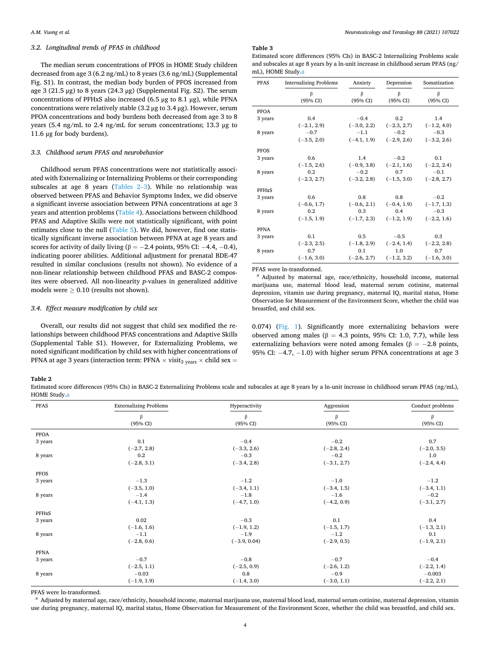#### *3.2. Longitudinal trends of PFAS in childhood*

The median serum concentrations of PFOS in HOME Study children decreased from age 3 (6.2 ng/mL) to 8 years (3.6 ng/mL) (Supplemental Fig. S1). In contrast, the median body burden of PFOS increased from age 3 (21.5 μg) to 8 years (24.3 μg) (Supplemental Fig. S2). The serum concentrations of PFHxS also increased (6.5 μg to 8.1 μg), while PFNA concentrations were relatively stable (3.2 μg to 3.4 μg). However, serum PFOA concentrations and body burdens both decreased from age 3 to 8 years (5.4 ng/mL to 2.4 ng/mL for serum concentrations; 13.3 μg to 11.6 μg for body burdens).

#### *3.3. Childhood serum PFAS and neurobehavior*

Childhood serum PFAS concentrations were not statistically associated with Externalizing or Internalizing Problems or their corresponding subscales at age 8 years (Tables 2–3). While no relationship was observed between PFAS and Behavior Symptoms Index, we did observe a significant inverse association between PFNA concentrations at age 3 years and attention problems ([Table 4\)](#page-6-0). Associations between childhood PFAS and Adaptive Skills were not statistically significant, with point estimates close to the null [\(Table 5\)](#page-6-0). We did, however, find one statistically significant inverse association between PFNA at age 8 years and scores for activity of daily living ( $\beta = -2.4$  points, 95% CI:  $-4.4$ ,  $-0.4$ ), indicating poorer abilities. Additional adjustment for prenatal BDE-47 resulted in similar conclusions (results not shown). No evidence of a non-linear relationship between childhood PFAS and BASC-2 composites were observed. All non-linearity *p*-values in generalized additive models were  $\geq 0.10$  (results not shown).

#### *3.4. Effect measure modification by child sex*

Overall, our results did not suggest that child sex modified the relationships between childhood PFAS concentrations and Adaptive Skills (Supplemental Table S1). However, for Externalizing Problems, we noted significant modification by child sex with higher concentrations of PFNA at age 3 years (interaction term: PFNA  $\times$  visit<sub>3 years</sub>  $\times$  child sex =

#### *Neurotoxicology and Teratology 88 (2021) 107022*

#### **Table 3**

Estimated score differences (95% CIs) in BASC-2 Internalizing Problems scale and subscales at age 8 years by a ln-unit increase in childhood serum PFAS (ng/ mL), HOME Study.a

| <b>PFAS</b>  | <b>Internalizing Problems</b> | Anxiety       |               | Somatization  |  |
|--------------|-------------------------------|---------------|---------------|---------------|--|
|              | β                             | β             | $\beta$       | β             |  |
|              | (95% CI)                      | (95% CI)      | (95% CI)      | (95% CI)      |  |
| <b>PFOA</b>  |                               |               |               |               |  |
| 3 years      | 0.4                           | $-0.4$        | 0.2           | 1.4           |  |
|              | $(-2.1, 2.9)$                 | $(-3.0, 2.2)$ | $(-2.3, 2.7)$ | $(-1.2, 4.0)$ |  |
| 8 years      | $-0.7$                        | $-1.1$        | $-0.2$        | $-0.3$        |  |
|              | $(-3.5, 2.0)$                 | $(-4.1, 1.9)$ | $(-2.9, 2.6)$ | $(-3.2, 2.6)$ |  |
| <b>PFOS</b>  |                               |               |               |               |  |
| 3 years      | 0.6                           | 1.4           | $-0.2$        | 0.1           |  |
|              | $(-1.5, 2.6)$                 | $(-0.9, 3.8)$ | $(-2.1, 1.6)$ | $(-2.2, 2.4)$ |  |
| 8 years      | 0.2                           | $-0.2$        | 0.7           | $-0.1$        |  |
|              | $(-2.3, 2.7)$                 | $(-3.2, 2.8)$ | $(-1.5, 3.0)$ | $(-2.8, 2.7)$ |  |
| <b>PFHxS</b> |                               |               |               |               |  |
| 3 years      | 0.6                           | 0.8           | 0.8           | $-0.2$        |  |
|              | $(-0.6, 1.7)$                 | $(-0.6, 2.1)$ | $(-0.4, 1.9)$ | $(-1.7, 1.3)$ |  |
| 8 years      | 0.2                           | 0.3           | 0.4           | $-0.3$        |  |
|              | $(-1.5, 1.9)$                 | $(-1.7, 2.3)$ | $(-1.2, 1.9)$ | $(-2.2, 1.6)$ |  |
| <b>PFNA</b>  |                               |               |               |               |  |
| 3 years      | 0.1                           | 0.5           | $-0.5$        | 0.3           |  |
|              | $(-2.3, 2.5)$                 | $(-1.8, 2.9)$ | $(-2.4, 1.4)$ | $(-2.2, 2.8)$ |  |
| 8 years      | 0.7                           | 0.1           | 1.0           | 0.7           |  |
|              | $(-1.6, 3.0)$                 | $(-2.6, 2.7)$ | $(-1.2, 3.2)$ | $(-1.6, 3.0)$ |  |

PFAS were ln-transformed. a Adjusted by maternal age, race/ethnicity, household income, maternal marijuana use, maternal blood lead, maternal serum cotinine, maternal depression, vitamin use during pregnancy, maternal IQ, marital status, Home Observation for Measurement of the Environment Score, whether the child was breastfed, and child sex.

0.074) ([Fig. 1](#page-7-0)). Significantly more externalizing behaviors were observed among males ( $β = 4.3$  points, 95% CI: 1.0, 7.7), while less externalizing behaviors were noted among females ( $\beta = -2.8$  points, 95% CI: −4.7, −1.0) with higher serum PFNA concentrations at age 3

#### **Table 2**

Estimated score differences (95% CIs) in BASC-2 Externalizing Problems scale and subscales at age 8 years by a ln-unit increase in childhood serum PFAS (ng/mL), HOME Study.a

| <b>PFAS</b> | <b>Externalizing Problems</b> | Hyperactivity  | Aggression    | Conduct problems |
|-------------|-------------------------------|----------------|---------------|------------------|
|             | β                             | β              | β             | β                |
|             | (95% CI)                      | (95% CI)       | (95% CI)      | (95% CI)         |
| <b>PFOA</b> |                               |                |               |                  |
| 3 years     | 0.1                           | $-0.4$         | $-0.2$        | 0.7              |
|             | $(-2.7, 2.8)$                 | $(-3.3, 2.6)$  | $(-2.8, 2.4)$ | $(-2.0, 3.5)$    |
| 8 years     | 0.2                           | $-0.3$         | $-0.2$        | 1.0              |
|             | $(-2.8, 3.1)$                 | $(-3.4, 2.8)$  | $(-3.1, 2.7)$ | $(-2.4, 4.4)$    |
| PFOS        |                               |                |               |                  |
| 3 years     | $-1.3$                        | $-1.2$         | $-1.0$        | $-1.2$           |
|             | $(-3.5, 1.0)$                 | $(-3.4, 1.1)$  | $(-3.4, 1.5)$ | $(-3.4, 1.1)$    |
| 8 years     | $-1.4$                        | $-1.8$         | $-1.6$        | $-0.2$           |
|             | $(-4.1, 1.3)$                 | $(-4.7, 1.0)$  | $(-4.2, 0.9)$ | $(-3.1, 2.7)$    |
| PFHxS       |                               |                |               |                  |
| 3 years     | 0.02                          | $-0.3$         | 0.1           | 0.4              |
|             | $(-1.6, 1.6)$                 | $(-1.9, 1.2)$  | $(-1.5, 1.7)$ | $(-1.3, 2.1)$    |
| 8 years     | $-1.1$                        | $-1.9$         | $-1.2$        | 0.1              |
|             | $(-2.8, 0.6)$                 | $(-3.9, 0.04)$ | $(-2.9, 0.5)$ | $(-1.9, 2.1)$    |
| <b>PFNA</b> |                               |                |               |                  |
| 3 years     | $-0.7$                        | $-0.8$         | $-0.7$        | $-0.4$           |
|             | $(-2.5, 1.1)$                 | $(-2.5, 0.9)$  | $(-2.6, 1.2)$ | $(-2.2, 1.4)$    |
| 8 years     | $-0.03$                       | 0.8            | $-0.9$        | $-0.003$         |
|             | $(-1.9, 1.9)$                 | $(-1.4, 3.0)$  | $(-3.0, 1.1)$ | $(-2.2, 2.1)$    |

PFAS were ln-transformed.<br><sup>a</sup> Adjusted by maternal age, race/ethnicity, household income, maternal marijuana use, maternal blood lead, maternal serum cotinine, maternal depression, vitamin use during pregnancy, maternal IQ, marital status, Home Observation for Measurement of the Environment Score, whether the child was breastfed, and child sex.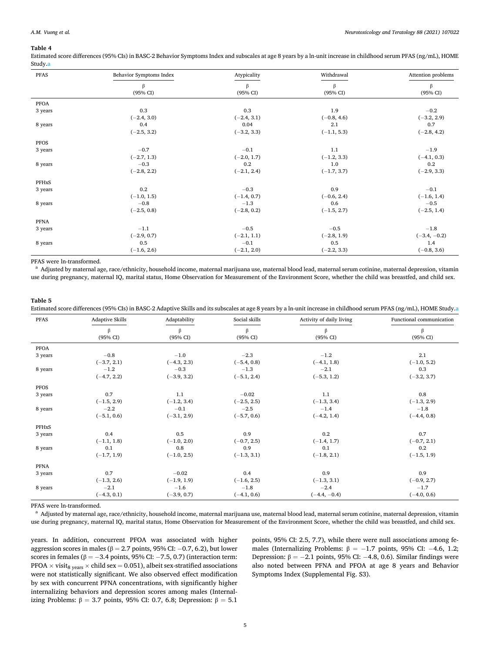#### <span id="page-6-0"></span>**Table 4**

Estimated score differences (95% CIs) in BASC-2 Behavior Symptoms Index and subscales at age 8 years by a ln-unit increase in childhood serum PFAS (ng/mL), HOME Study.a

| <b>PFAS</b> | Behavior Symptoms Index | Atypicality         | Withdrawal          | Attention problems  |
|-------------|-------------------------|---------------------|---------------------|---------------------|
|             | β                       | $\beta$             | $\beta$             | β                   |
|             | $(95\% \text{ CI})$     | $(95\% \text{ CI})$ | $(95\% \text{ CI})$ | $(95\% \text{ CI})$ |
| <b>PFOA</b> |                         |                     |                     |                     |
| 3 years     | 0.3                     | 0.3                 | 1.9                 | $-0.2$              |
|             | $(-2.4, 3.0)$           | $(-2.4, 3.1)$       | $(-0.8, 4.6)$       | $(-3.2, 2.9)$       |
| 8 years     | 0.4                     | 0.04                | 2.1                 | 0.7                 |
|             | $(-2.5, 3.2)$           | $(-3.2, 3.3)$       | $(-1.1, 5.3)$       | $(-2.8, 4.2)$       |
| <b>PFOS</b> |                         |                     |                     |                     |
| 3 years     | $-0.7$                  | $-0.1$              | 1.1                 | $-1.9$              |
|             | $(-2.7, 1.3)$           | $(-2.0, 1.7)$       | $(-1.2, 3.3)$       | $(-4.1, 0.3)$       |
| 8 years     | $-0.3$                  | 0.2                 | 1.0                 | 0.2                 |
|             | $(-2.8, 2.2)$           | $(-2.1, 2.4)$       | $(-1.7, 3.7)$       | $(-2.9, 3.3)$       |
| PFHxS       |                         |                     |                     |                     |
| 3 years     | 0.2                     | $-0.3$              | 0.9                 | $-0.1$              |
|             | $(-1.0, 1.5)$           | $(-1.4, 0.7)$       | $(-0.6, 2.4)$       | $(-1.6, 1.4)$       |
| 8 years     | $-0.8$                  | $-1.3$              | 0.6                 | $-0.5$              |
|             | $(-2.5, 0.8)$           | $(-2.8, 0.2)$       | $(-1.5, 2.7)$       | $(-2.5, 1.4)$       |
| PFNA        |                         |                     |                     |                     |
| 3 years     | $-1.1$                  | $-0.5$              | $-0.5$              | $-1.8$              |
|             | $(-2.9, 0.7)$           | $(-2.1, 1.1)$       | $(-2.8, 1.9)$       | $(-3.4, -0.2)$      |
| 8 years     | 0.5                     | $-0.1$              | 0.5                 | 1.4                 |
|             | $(-1.6, 2.6)$           | $(-2.1, 2.0)$       | $(-2.2, 3.3)$       | $(-0.8, 3.6)$       |

PFAS were ln-transformed.<br><sup>a</sup> Adjusted by maternal age, race/ethnicity, household income, maternal marijuana use, maternal blood lead, maternal serum cotinine, maternal depression, vitamin use during pregnancy, maternal IQ, marital status, Home Observation for Measurement of the Environment Score, whether the child was breastfed, and child sex.

#### **Table 5**

Estimated score differences (95% CIs) in BASC-2 Adaptive Skills and its subscales at age 8 years by a ln-unit increase in childhood serum PFAS (ng/mL), HOME Study.a

| PFAS        | Adaptive Skills          | Adaptability  | Social skills | Activity of daily living | Functional communication |
|-------------|--------------------------|---------------|---------------|--------------------------|--------------------------|
|             | β<br>$(95\% \text{ CI})$ | β<br>(95% CI) | β<br>(95% CI) | β<br>(95% CI)            | β<br>(95% CI)            |
| PFOA        |                          |               |               |                          |                          |
| 3 years     | $-0.8$                   | $-1.0$        | $-2.3$        | $-1.2$                   | 2.1                      |
|             | $(-3.7, 2.1)$            | $(-4.3, 2.3)$ | $(-5.4, 0.8)$ | $(-4.1, 1.8)$            | $(-1.0, 5.2)$            |
| 8 years     | $-1.2$                   | $-0.3$        | $-1.3$        | $-2.1$                   | 0.3                      |
|             | $(-4.7, 2.2)$            | $(-3.9, 3.2)$ | $(-5.1, 2.4)$ | $(-5.3, 1.2)$            | $(-3.2, 3.7)$            |
| <b>PFOS</b> |                          |               |               |                          |                          |
| 3 years     | 0.7                      | 1.1           | $-0.02$       | 1.1                      | 0.8                      |
|             | $(-1.5, 2.9)$            | $(-1.2, 3.4)$ | $(-2.5, 2.5)$ | $(-1.3, 3.4)$            | $(-1.3, 2.9)$            |
| 8 years     | $-2.2$                   | $-0.1$        | $-2.5$        | $-1.4$                   | $-1.8$                   |
|             | $(-5.1, 0.6)$            | $(-3.1, 2.9)$ | $(-5.7, 0.6)$ | $(-4.2, 1.4)$            | $(-4.4, 0.8)$            |
| PFHxS       |                          |               |               |                          |                          |
| 3 years     | 0.4                      | 0.5           | 0.9           | 0.2                      | 0.7                      |
|             | $(-1.1, 1.8)$            | $(-1.0, 2.0)$ | $(-0.7, 2.5)$ | $(-1.4, 1.7)$            | $(-0.7, 2.1)$            |
| 8 years     | 0.1                      | 0.8           | 0.9           | 0.1                      | 0.2                      |
|             | $(-1.7, 1.9)$            | $(-1.0, 2.5)$ | $(-1.3, 3.1)$ | $(-1.8, 2.1)$            | $(-1.5, 1.9)$            |
| <b>PFNA</b> |                          |               |               |                          |                          |
| 3 years     | 0.7                      | $-0.02$       | 0.4           | 0.9                      | 0.9                      |
|             | $(-1.3, 2.6)$            | $(-1.9, 1.9)$ | $(-1.6, 2.5)$ | $(-1.3, 3.1)$            | $(-0.9, 2.7)$            |
| 8 years     | $-2.1$                   | $-1.6$        | $-1.8$        | $-2.4$                   | $-1.7$                   |
|             | $(-4.3, 0.1)$            | $(-3.9, 0.7)$ | $(-4.1, 0.6)$ | $(-4.4, -0.4)$           | $(-4.0, 0.6)$            |

PFAS were ln-transformed.<br><sup>a</sup> Adjusted by maternal age, race/ethnicity, household income, maternal marijuana use, maternal blood lead, maternal serum cotinine, maternal depression, vitamin use during pregnancy, maternal IQ, marital status, Home Observation for Measurement of the Environment Score, whether the child was breastfed, and child sex.

years. In addition, concurrent PFOA was associated with higher aggression scores in males ( $β = 2.7$  points, 95% CI: -0.7, 6.2), but lower scores in females ( $\beta = -3.4$  points, 95% CI:  $-7.5$ , 0.7) (interaction term: PFOA  $\times$  visit<sub>8 years</sub>  $\times$  child sex = 0.051), albeit sex-stratified associations were not statistically significant. We also observed effect modification by sex with concurrent PFNA concentrations, with significantly higher internalizing behaviors and depression scores among males (Internalizing Problems:  $β = 3.7$  points, 95% CI: 0.7, 6.8; Depression:  $β = 5.1$ 

points, 95% CI: 2.5, 7.7), while there were null associations among females (Internalizing Problems:  $\beta = -1.7$  points, 95% CI: -4.6, 1.2; Depression:  $\beta = -2.1$  points, 95% CI: −4.8, 0.6). Similar findings were also noted between PFNA and PFOA at age 8 years and Behavior Symptoms Index (Supplemental Fig. S3).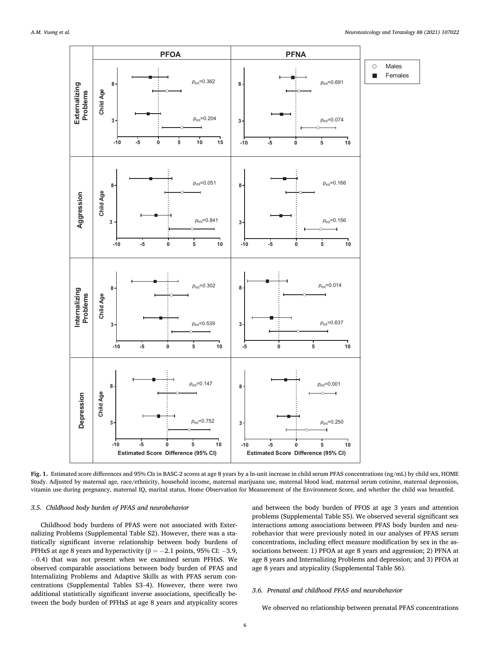<span id="page-7-0"></span>

**Fig. 1.** Estimated score differences and 95% CIs in BASC-2 scores at age 8 years by a ln-unit increase in child serum PFAS concentrations (ng/mL) by child sex, HOME Study. Adjusted by maternal age, race/ethnicity, household income, maternal marijuana use, maternal blood lead, maternal serum cotinine, maternal depression, vitamin use during pregnancy, maternal IQ, marital status, Home Observation for Measurement of the Environment Score, and whether the child was breastfed.

#### *3.5. Childhood body burden of PFAS and neurobehavior*

Childhood body burdens of PFAS were not associated with Externalizing Problems (Supplemental Table S2). However, there was a statistically significant inverse relationship between body burdens of PFHxS at age 8 years and hyperactivity ( $\beta = -2.1$  points, 95% CI: -3.9, − 0.4) that was not present when we examined serum PFHxS. We observed comparable associations between body burden of PFAS and Internalizing Problems and Adaptive Skills as with PFAS serum concentrations (Supplemental Tables S3–4). However, there were two additional statistically significant inverse associations, specifically between the body burden of PFHxS at age 8 years and atypicality scores and between the body burden of PFOS at age 3 years and attention problems (Supplemental Table S5). We observed several significant sex interactions among associations between PFAS body burden and neurobehavior that were previously noted in our analyses of PFAS serum concentrations, including effect measure modification by sex in the associations between: 1) PFOA at age 8 years and aggression; 2) PFNA at age 8 years and Internalizing Problems and depression; and 3) PFOA at age 8 years and atypicality (Supplemental Table S6).

#### *3.6. Prenatal and childhood PFAS and neurobehavior*

We observed no relationship between prenatal PFAS concentrations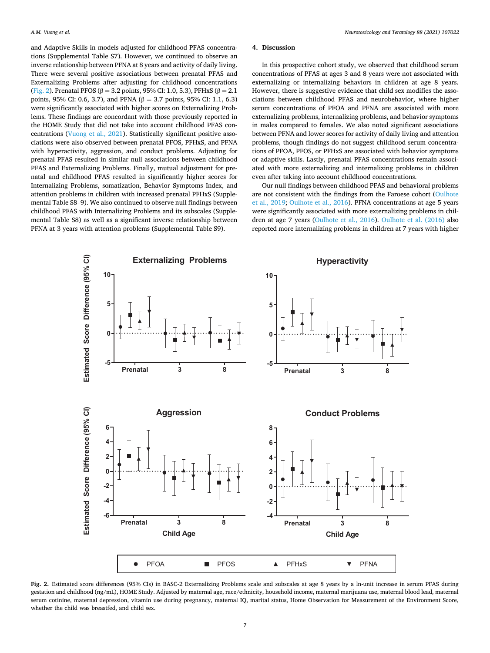and Adaptive Skills in models adjusted for childhood PFAS concentrations (Supplemental Table S7). However, we continued to observe an inverse relationship between PFNA at 8 years and activity of daily living. There were several positive associations between prenatal PFAS and Externalizing Problems after adjusting for childhood concentrations (Fig. 2). Prenatal PFOS ( $β = 3.2$  points, 95% CI: 1.0, 5.3), PFHxS ( $β = 2.1$ points, 95% CI: 0.6, 3.7), and PFNA (β = 3.7 points, 95% CI: 1.1, 6.3) were significantly associated with higher scores on Externalizing Problems. These findings are concordant with those previously reported in the HOME Study that did not take into account childhood PFAS concentrations ([Vuong et al., 2021](#page-11-0)). Statistically significant positive associations were also observed between prenatal PFOS, PFHxS, and PFNA with hyperactivity, aggression, and conduct problems. Adjusting for prenatal PFAS resulted in similar null associations between childhood PFAS and Externalizing Problems. Finally, mutual adjustment for prenatal and childhood PFAS resulted in significantly higher scores for Internalizing Problems, somatization, Behavior Symptoms Index, and attention problems in children with increased prenatal PFHxS (Supplemental Table S8–9). We also continued to observe null findings between childhood PFAS with Internalizing Problems and its subscales (Supplemental Table S8) as well as a significant inverse relationship between PFNA at 3 years with attention problems (Supplemental Table S9).

#### **4. Discussion**

In this prospective cohort study, we observed that childhood serum concentrations of PFAS at ages 3 and 8 years were not associated with externalizing or internalizing behaviors in children at age 8 years. However, there is suggestive evidence that child sex modifies the associations between childhood PFAS and neurobehavior, where higher serum concentrations of PFOA and PFNA are associated with more externalizing problems, internalizing problems, and behavior symptoms in males compared to females. We also noted significant associations between PFNA and lower scores for activity of daily living and attention problems, though findings do not suggest childhood serum concentrations of PFOA, PFOS, or PFHxS are associated with behavior symptoms or adaptive skills. Lastly, prenatal PFAS concentrations remain associated with more externalizing and internalizing problems in children even after taking into account childhood concentrations.

Our null findings between childhood PFAS and behavioral problems are not consistent with the findings from the Faroese cohort [\(Oulhote](#page-11-0)  [et al., 2019](#page-11-0); [Oulhote et al., 2016](#page-11-0)). PFNA concentrations at age 5 years were significantly associated with more externalizing problems in children at age 7 years ([Oulhote et al., 2016\)](#page-11-0). [Oulhote et al. \(2016\)](#page-11-0) also reported more internalizing problems in children at 7 years with higher



**Fig. 2.** Estimated score differences (95% CIs) in BASC-2 Externalizing Problems scale and subscales at age 8 years by a ln-unit increase in serum PFAS during gestation and childhood (ng/mL), HOME Study. Adjusted by maternal age, race/ethnicity, household income, maternal marijuana use, maternal blood lead, maternal serum cotinine, maternal depression, vitamin use during pregnancy, maternal IQ, marital status, Home Observation for Measurement of the Environment Score, whether the child was breastfed, and child sex.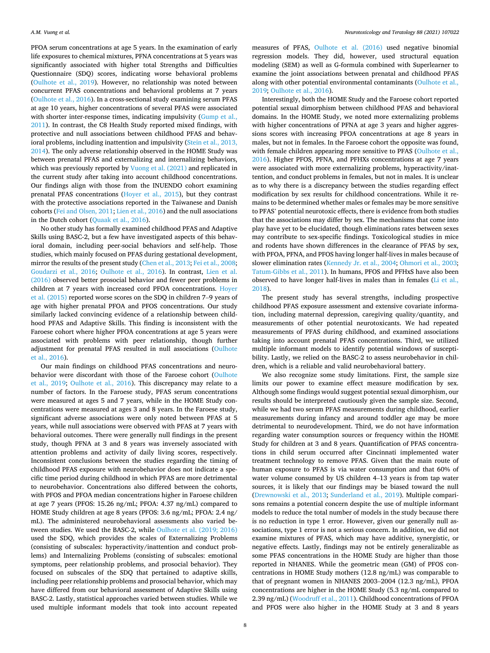PFOA serum concentrations at age 5 years. In the examination of early life exposures to chemical mixtures, PFNA concentrations at 5 years was significantly associated with higher total Strengths and Difficulties Questionnaire (SDQ) scores, indicating worse behavioral problems ([Oulhote et al., 2019\)](#page-11-0). However, no relationship was noted between concurrent PFAS concentrations and behavioral problems at 7 years ([Oulhote et al., 2016\)](#page-11-0). In a cross-sectional study examining serum PFAS at age 10 years, higher concentrations of several PFAS were associated with shorter inter-response times, indicating impulsivity (Gump et al., [2011\)](#page-10-0). In contrast, the C8 Health Study reported mixed findings, with protective and null associations between childhood PFAS and behavioral problems, including inattention and impulsivity ([Stein et al., 2013,](#page-11-0)  [2014\)](#page-11-0). The only adverse relationship observed in the HOME Study was between prenatal PFAS and externalizing and internalizing behaviors, which was previously reported by [Vuong et al. \(2021\)](#page-11-0) and replicated in the current study after taking into account childhood concentrations. Our findings align with those from the INUENDO cohort examining prenatal PFAS concentrations [\(Hoyer et al., 2015\)](#page-10-0), but they contrast with the protective associations reported in the Taiwanese and Danish cohorts [\(Fei and Olsen, 2011; Lien et al., 2016](#page-10-0)) and the null associations in the Dutch cohort [\(Quaak et al., 2016\)](#page-11-0).

No other study has formally examined childhood PFAS and Adaptive Skills using BASC-2, but a few have investigated aspects of this behavioral domain, including peer-social behaviors and self-help. Those studies, which mainly focused on PFAS during gestational development, mirror the results of the present study ([Chen et al., 2013](#page-10-0); [Fei et al., 2008](#page-10-0); [Goudarzi et al., 2016](#page-10-0); [Oulhote et al., 2016\)](#page-11-0). In contrast, [Lien et al.](#page-10-0)  [\(2016\)](#page-10-0) observed better prosocial behavior and fewer peer problems in children at 7 years with increased cord PFOA concentrations. [Hoyer](#page-10-0)  [et al. \(2015\)](#page-10-0) reported worse scores on the SDQ in children 7–9 years of age with higher prenatal PFOA and PFOS concentrations. Our study similarly lacked convincing evidence of a relationship between childhood PFAS and Adaptive Skills. This finding is inconsistent with the Faroese cohort where higher PFOA concentrations at age 5 years were associated with problems with peer relationship, though further adjustment for prenatal PFAS resulted in null associations [\(Oulhote](#page-11-0)  [et al., 2016\)](#page-11-0).

Our main findings on childhood PFAS concentrations and neurobehavior were discordant with those of the Faroese cohort [\(Oulhote](#page-11-0)  [et al., 2019;](#page-11-0) [Oulhote et al., 2016\)](#page-11-0). This discrepancy may relate to a number of factors. In the Faroese study, PFAS serum concentrations were measured at ages 5 and 7 years, while in the HOME Study concentrations were measured at ages 3 and 8 years. In the Faroese study, significant adverse associations were only noted between PFAS at 5 years, while null associations were observed with PFAS at 7 years with behavioral outcomes. There were generally null findings in the present study, though PFNA at 3 and 8 years was inversely associated with attention problems and activity of daily living scores, respectively. Inconsistent conclusions between the studies regarding the timing of childhood PFAS exposure with neurobehavior does not indicate a specific time period during childhood in which PFAS are more detrimental to neurobehavior. Concentrations also differed between the cohorts, with PFOS and PFOA median concentrations higher in Faroese children at age 7 years (PFOS: 15.26 ng/mL; PFOA: 4.37 ng/mL) compared to HOME Study children at age 8 years (PFOS: 3.6 ng/mL; PFOA: 2.4 ng/ mL). The administered neurobehavioral assessments also varied between studies. We used the BASC-2, while [Oulhote et al. \(2019; 2016\)](#page-11-0)  used the SDQ, which provides the scales of Externalizing Problems (consisting of subscales: hyperactivity/inattention and conduct problems) and Internalizing Problems (consisting of subscales: emotional symptoms, peer relationship problems, and prosocial behavior). They focused on subscales of the SDQ that pertained to adaptive skills, including peer relationship problems and prosocial behavior, which may have differed from our behavioral assessment of Adaptive Skills using BASC-2. Lastly, statistical approaches varied between studies. While we used multiple informant models that took into account repeated measures of PFAS, [Oulhote et al. \(2016\)](#page-11-0) used negative binomial regression models. They did, however, used structural equation modeling (SEM) as well as G-formula combined with Superlearner to examine the joint associations between prenatal and childhood PFAS along with other potential environmental contaminants [\(Oulhote et al.,](#page-11-0)  [2019; Oulhote et al., 2016](#page-11-0)).

Interestingly, both the HOME Study and the Faroese cohort reported potential sexual dimorphism between childhood PFAS and behavioral domains. In the HOME Study, we noted more externalizing problems with higher concentrations of PFNA at age 3 years and higher aggressions scores with increasing PFOA concentrations at age 8 years in males, but not in females. In the Faroese cohort the opposite was found, with female children appearing more sensitive to PFAS (Oulhote et al., [2016\)](#page-11-0). Higher PFOS, PFNA, and PFHXs concentrations at age 7 years were associated with more externalizing problems, hyperactivity/inattention, and conduct problems in females, but not in males. It is unclear as to why there is a discrepancy between the studies regarding effect modification by sex results for childhood concentrations. While it remains to be determined whether males or females may be more sensitive to PFAS' potential neurotoxic effects, there is evidence from both studies that the associations may differ by sex. The mechanisms that come into play have yet to be elucidated, though eliminations rates between sexes may contribute to sex-specific findings. Toxicological studies in mice and rodents have shown differences in the clearance of PFAS by sex, with PFOA, PFNA, and PFOS having longer half-lives in males because of slower elimination rates [\(Kennedy Jr. et al., 2004;](#page-10-0) [Ohmori et al., 2003](#page-11-0); [Tatum-Gibbs et al., 2011](#page-11-0)). In humans, PFOS and PFHxS have also been observed to have longer half-lives in males than in females [\(Li et al.,](#page-10-0)  [2018\)](#page-10-0).

The present study has several strengths, including prospective childhood PFAS exposure assessment and extensive covariate information, including maternal depression, caregiving quality/quantity, and measurements of other potential neurotoxicants. We had repeated measurements of PFAS during childhood, and examined associations taking into account prenatal PFAS concentrations. Third, we utilized multiple informant models to identify potential windows of susceptibility. Lastly, we relied on the BASC-2 to assess neurobehavior in children, which is a reliable and valid neurobehavioral battery.

We also recognize some study limitations. First, the sample size limits our power to examine effect measure modification by sex. Although some findings would suggest potential sexual dimorphism, our results should be interpreted cautiously given the sample size. Second, while we had two serum PFAS measurements during childhood, earlier measurements during infancy and around toddler age may be more detrimental to neurodevelopment. Third, we do not have information regarding water consumption sources or frequency within the HOME Study for children at 3 and 8 years. Quantification of PFAS concentrations in child serum occurred after Cincinnati implemented water treatment technology to remove PFAS. Given that the main route of human exposure to PFAS is via water consumption and that 60% of water volume consumed by US children 4–13 years is from tap water sources, it is likely that our findings may be biased toward the null ([Drewnowski et al., 2013;](#page-10-0) [Sunderland et al., 2019\)](#page-11-0). Multiple comparisons remains a potential concern despite the use of multiple informant models to reduce the total number of models in the study because there is no reduction in type 1 error. However, given our generally null associations, type 1 error is not a serious concern. In addition, we did not examine mixtures of PFAS, which may have additive, synergistic, or negative effects. Lastly, findings may not be entirely generalizable as some PFAS concentrations in the HOME Study are higher than those reported in NHANES. While the geometric mean (GM) of PFOS concentrations in HOME Study mothers (12.8 ng/mL) was comparable to that of pregnant women in NHANES 2003–2004 (12.3 ng/mL), PFOA concentrations are higher in the HOME Study (5.3 ng/mL compared to 2.39 ng/mL) ([Woodruff et al., 2011\)](#page-11-0). Childhood concentrations of PFOA and PFOS were also higher in the HOME Study at 3 and 8 years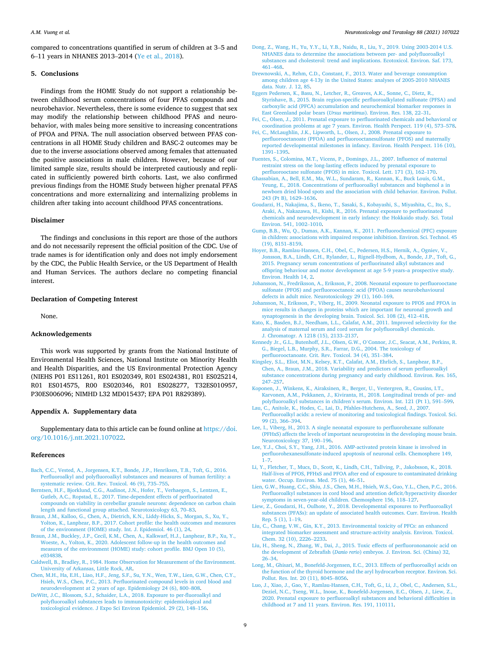<span id="page-10-0"></span>compared to concentrations quantified in serum of children at 3–5 and 6–11 years in NHANES 2013–2014 ([Ye et al., 2018](#page-11-0)).

#### **5. Conclusions**

Findings from the HOME Study do not support a relationship between childhood serum concentrations of four PFAS compounds and neurobehavior. Nevertheless, there is some evidence to suggest that sex may modify the relationship between childhood PFAS and neurobehavior, with males being more sensitive to increasing concentrations of PFOA and PFNA. The null association observed between PFAS concentrations in all HOME Study children and BASC-2 outcomes may be due to the inverse associations observed among females that attenuated the positive associations in male children. However, because of our limited sample size, results should be interpreted cautiously and replicated in sufficiently powered birth cohorts. Last, we also confirmed previous findings from the HOME Study between higher prenatal PFAS concentrations and more externalizing and internalizing problems in children after taking into account childhood PFAS concentrations.

#### **Disclaimer**

The findings and conclusions in this report are those of the authors and do not necessarily represent the official position of the CDC. Use of trade names is for identification only and does not imply endorsement by the CDC, the Public Health Service, or the US Department of Health and Human Services. The authors declare no competing financial interest.

#### **Declaration of Competing Interest**

None.

#### **Acknowledgements**

This work was supported by grants from the National Institute of Environmental Health Sciences, National Institute on Minority Health and Health Disparities, and the US Environmental Protection Agency (NIEHS P01 ES11261, R01 ES020349, R01 ES024381, R01 ES025214, R01 ES014575, R00 ES020346, R01 ES028277, T32ES010957, P30ES006096; NIMHD L32 MD015437; EPA P01 R829389).

#### **Appendix A. Supplementary data**

Supplementary data to this article can be found online at [https://doi.](https://doi.org/10.1016/j.ntt.2021.107022)  [org/10.1016/j.ntt.2021.107022](https://doi.org/10.1016/j.ntt.2021.107022).

#### **References**

- [Bach, C.C., Vested, A., Jorgensen, K.T., Bonde, J.P., Henriksen, T.B., Toft, G., 2016.](http://refhub.elsevier.com/S0892-0362(21)00076-3/rf0005) [Perfluoroalkyl and polyfluoroalkyl substances and measures of human fertility: a](http://refhub.elsevier.com/S0892-0362(21)00076-3/rf0005) [systematic review. Crit. Rev. Toxicol. 46 \(9\), 735](http://refhub.elsevier.com/S0892-0362(21)00076-3/rf0005)–755.
- [Berntsen, H.F., Bjorklund, C.G., Audinot, J.N., Hofer, T., Verhaegen, S., Lentzen, E.,](http://refhub.elsevier.com/S0892-0362(21)00076-3/rf0010)  [Gutleb, A.C., Ropstad, E., 2017. Time-dependent effects of perfluorinated](http://refhub.elsevier.com/S0892-0362(21)00076-3/rf0010)  [compounds on viability in cerebellar granule neurons: dependence on carbon chain](http://refhub.elsevier.com/S0892-0362(21)00076-3/rf0010)  [length and functional group attached. Neurotoxicology 63, 70](http://refhub.elsevier.com/S0892-0362(21)00076-3/rf0010)–83.
- [Braun, J.M., Kalloo, G., Chen, A., Dietrich, K.N., Liddy-Hicks, S., Morgan, S., Xu, Y.,](http://refhub.elsevier.com/S0892-0362(21)00076-3/rf0015)  [Yolton, K., Lanphear, B.P., 2017. Cohort profile: the health outcomes and measures](http://refhub.elsevier.com/S0892-0362(21)00076-3/rf0015)  [of the environment \(HOME\) study. Int. J. Epidemiol. 46 \(1\), 24](http://refhub.elsevier.com/S0892-0362(21)00076-3/rf0015).
- [Braun, J.M., Buckley, J.P., Cecil, K.M., Chen, A., Kalkwarf, H.J., Lanphear, B.P., Xu, Y.,](http://refhub.elsevier.com/S0892-0362(21)00076-3/rf0020)  [Woeste, A., Yolton, K., 2020. Adolescent follow-up in the health outcomes and](http://refhub.elsevier.com/S0892-0362(21)00076-3/rf0020) [measures of the environment \(HOME\) study: cohort profile. BMJ Open 10 \(5\),](http://refhub.elsevier.com/S0892-0362(21)00076-3/rf0020) [e034838](http://refhub.elsevier.com/S0892-0362(21)00076-3/rf0020).
- [Caldwell, B., Bradley, R., 1984. Home Observation for Measurement of the Environment.](http://refhub.elsevier.com/S0892-0362(21)00076-3/rf0025)  [University of Arkansas, Little Rock, AR.](http://refhub.elsevier.com/S0892-0362(21)00076-3/rf0025)
- [Chen, M.H., Ha, E.H., Liao, H.F., Jeng, S.F., Su, Y.N., Wen, T.W., Lien, G.W., Chen, C.Y.,](http://refhub.elsevier.com/S0892-0362(21)00076-3/rf0030)  [Hsieh, W.S., Chen, P.C., 2013. Perfluorinated compound levels in cord blood and](http://refhub.elsevier.com/S0892-0362(21)00076-3/rf0030) [neurodevelopment at 2 years of age. Epidemiology 24 \(6\), 800](http://refhub.elsevier.com/S0892-0362(21)00076-3/rf0030)–808.
- [DeWitt, J.C., Blossom, S.J., Schaider, L.A., 2018. Exposure to per-fluoroalkyl and](http://refhub.elsevier.com/S0892-0362(21)00076-3/rf0035)  [polyfluoroalkyl substances leads to immunotoxicity: epidemiological and](http://refhub.elsevier.com/S0892-0362(21)00076-3/rf0035) [toxicological evidence. J Expo Sci Environ Epidemiol. 29 \(2\), 148](http://refhub.elsevier.com/S0892-0362(21)00076-3/rf0035)–156.
- [Dong, Z., Wang, H., Yu, Y.Y., Li, Y.B., Naidu, R., Liu, Y., 2019. Using 2003-2014 U.S.](http://refhub.elsevier.com/S0892-0362(21)00076-3/rf0040)  [NHANES data to determine the associations between per- and polyfluoroalkyl](http://refhub.elsevier.com/S0892-0362(21)00076-3/rf0040)  [substances and cholesterol: trend and implications. Ecotoxicol. Environ. Saf. 173,](http://refhub.elsevier.com/S0892-0362(21)00076-3/rf0040)  461–[468](http://refhub.elsevier.com/S0892-0362(21)00076-3/rf0040).
- [Drewnowski, A., Rehm, C.D., Constant, F., 2013. Water and beverage consumption](http://refhub.elsevier.com/S0892-0362(21)00076-3/rf0045) [among children age 4-13y in the United States: analyses of 2005-2010 NHANES](http://refhub.elsevier.com/S0892-0362(21)00076-3/rf0045) [data. Nutr. J. 12, 85.](http://refhub.elsevier.com/S0892-0362(21)00076-3/rf0045)
- [Eggers Pedersen, K., Basu, N., Letcher, R., Greaves, A.K., Sonne, C., Dietz, R.,](http://refhub.elsevier.com/S0892-0362(21)00076-3/rf0050) [Styrishave, B., 2015. Brain region-specific perfluoroalkylated sulfonate \(PFSA\) and](http://refhub.elsevier.com/S0892-0362(21)00076-3/rf0050) [carboxylic acid \(PFCA\) accumulation and neurochemical biomarker responses in](http://refhub.elsevier.com/S0892-0362(21)00076-3/rf0050)  [East Greenland polar bears \(](http://refhub.elsevier.com/S0892-0362(21)00076-3/rf0050)*Ursus maritimus*). Environ. Res. 138, 22–31.
- [Fei, C., Olsen, J., 2011. Prenatal exposure to perfluorinated chemicals and behavioral or](http://refhub.elsevier.com/S0892-0362(21)00076-3/rf0055)  [coordination problems at age 7 years. Environ. Health Perspect. 119 \(4\), 573](http://refhub.elsevier.com/S0892-0362(21)00076-3/rf0055)–578. [Fei, C., McLaughlin, J.K., Lipworth, L., Olsen, J., 2008. Prenatal exposure to](http://refhub.elsevier.com/S0892-0362(21)00076-3/rf0060)
- [perfluorooctanoate \(PFOA\) and perfluorooctanesulfonate \(PFOS\) and maternally](http://refhub.elsevier.com/S0892-0362(21)00076-3/rf0060)  [reported developmental milestones in infancy. Environ. Health Perspect. 116 \(10\),](http://refhub.elsevier.com/S0892-0362(21)00076-3/rf0060) [1391](http://refhub.elsevier.com/S0892-0362(21)00076-3/rf0060)–1395.
- [Fuentes, S., Colomina, M.T., Vicens, P., Domingo, J.L., 2007. Influence of maternal](http://refhub.elsevier.com/S0892-0362(21)00076-3/rf0065)  [restraint stress on the long-lasting effects induced by prenatal exposure to](http://refhub.elsevier.com/S0892-0362(21)00076-3/rf0065)  [perfluorooctane sulfonate \(PFOS\) in mice. Toxicol. Lett. 171 \(3\), 162](http://refhub.elsevier.com/S0892-0362(21)00076-3/rf0065)–170.
- [Ghassabian, A., Bell, E.M., Ma, W.L., Sundaram, R., Kannan, K., Buck Louis, G.M.,](http://refhub.elsevier.com/S0892-0362(21)00076-3/rf0070) [Yeung, E., 2018. Concentrations of perfluoroalkyl substances and bisphenol a in](http://refhub.elsevier.com/S0892-0362(21)00076-3/rf0070) [newborn dried blood spots and the association with child behavior. Environ. Pollut.](http://refhub.elsevier.com/S0892-0362(21)00076-3/rf0070)  [243 \(Pt B\), 1629](http://refhub.elsevier.com/S0892-0362(21)00076-3/rf0070)–1636.
- [Goudarzi, H., Nakajima, S., Ikeno, T., Sasaki, S., Kobayashi, S., Miyashita, C., Ito, S.,](http://refhub.elsevier.com/S0892-0362(21)00076-3/rf0075) [Araki, A., Nakazawa, H., Kishi, R., 2016. Prenatal exposure to perfluorinated](http://refhub.elsevier.com/S0892-0362(21)00076-3/rf0075) [chemicals and neurodevelopment in early infancy: the Hokkaido study. Sci. Total](http://refhub.elsevier.com/S0892-0362(21)00076-3/rf0075) [Environ. 541, 1002](http://refhub.elsevier.com/S0892-0362(21)00076-3/rf0075)–1010.
- [Gump, B.B., Wu, Q., Dumas, A.K., Kannan, K., 2011. Perfluorochemical \(PFC\) exposure](http://refhub.elsevier.com/S0892-0362(21)00076-3/rf0080)  [in children: associations with impaired response inhibition. Environ. Sci. Technol. 45](http://refhub.elsevier.com/S0892-0362(21)00076-3/rf0080)  [\(19\), 8151](http://refhub.elsevier.com/S0892-0362(21)00076-3/rf0080)–8159.
- [Hoyer, B.B., Ramlau-Hansen, C.H., Obel, C., Pedersen, H.S., Hernik, A., Ogniev, V.,](http://refhub.elsevier.com/S0892-0362(21)00076-3/rf0085) [Jonsson, B.A., Lindh, C.H., Rylander, L., Rignell-Hydbom, A., Bonde, J.P., Toft, G.,](http://refhub.elsevier.com/S0892-0362(21)00076-3/rf0085)  [2015. Pregnancy serum concentrations of perfluorinated alkyl substances and](http://refhub.elsevier.com/S0892-0362(21)00076-3/rf0085)  [offspring behaviour and motor development at age 5-9 years–a prospective study.](http://refhub.elsevier.com/S0892-0362(21)00076-3/rf0085) [Environ. Health 14, 2](http://refhub.elsevier.com/S0892-0362(21)00076-3/rf0085).
- [Johansson, N., Fredriksson, A., Eriksson, P., 2008. Neonatal exposure to perfluorooctane](http://refhub.elsevier.com/S0892-0362(21)00076-3/rf0090)  [sulfonate \(PFOS\) and perfluorooctanoic acid \(PFOA\) causes neurobehavioural](http://refhub.elsevier.com/S0892-0362(21)00076-3/rf0090) [defects in adult mice. Neurotoxicology 29 \(1\), 160](http://refhub.elsevier.com/S0892-0362(21)00076-3/rf0090)–169.
- [Johansson, N., Eriksson, P., Viberg, H., 2009. Neonatal exposure to PFOS and PFOA in](http://refhub.elsevier.com/S0892-0362(21)00076-3/rf0095)  [mice results in changes in proteins which are important for neuronal growth and](http://refhub.elsevier.com/S0892-0362(21)00076-3/rf0095) [synaptogenesis in the developing brain. Toxicol. Sci. 108 \(2\), 412](http://refhub.elsevier.com/S0892-0362(21)00076-3/rf0095)–418.
- [Kato, K., Basden, B.J., Needham, L.L., Calafat, A.M., 2011. Improved selectivity for the](http://refhub.elsevier.com/S0892-0362(21)00076-3/rf0100)  [analysis of maternal serum and cord serum for polyfluoroalkyl chemicals.](http://refhub.elsevier.com/S0892-0362(21)00076-3/rf0100)  [J. Chromatogr. A 1218 \(15\), 2133](http://refhub.elsevier.com/S0892-0362(21)00076-3/rf0100)–2137.
- [Kennedy Jr., G.L., Butenhoff, J.L., Olsen, G.W., O](http://refhub.elsevier.com/S0892-0362(21)00076-3/rf0105)'Connor, J.C., Seacat, A.M., Perkins, R. [G., Biegel, L.B., Murphy, S.R., Farrar, D.G., 2004. The toxicology of](http://refhub.elsevier.com/S0892-0362(21)00076-3/rf0105) [perfluorooctanoate. Crit. Rev. Toxicol. 34 \(4\), 351](http://refhub.elsevier.com/S0892-0362(21)00076-3/rf0105)–384.
- [Kingsley, S.L., Eliot, M.N., Kelsey, K.T., Calafat, A.M., Ehrlich, S., Lanphear, B.P.,](http://refhub.elsevier.com/S0892-0362(21)00076-3/rf0110) [Chen, A., Braun, J.M., 2018. Variability and predictors of serum perfluoroalkyl](http://refhub.elsevier.com/S0892-0362(21)00076-3/rf0110) [substance concentrations during pregnancy and early childhood. Environ. Res. 165,](http://refhub.elsevier.com/S0892-0362(21)00076-3/rf0110)  247–[257](http://refhub.elsevier.com/S0892-0362(21)00076-3/rf0110).
- [Koponen, J., Winkens, K., Airaksinen, R., Berger, U., Vestergren, R., Cousins, I.T.,](http://refhub.elsevier.com/S0892-0362(21)00076-3/rf0115) [Karvonen, A.M., Pekkanen, J., Kiviranta, H., 2018. Longitudinal trends of per- and](http://refhub.elsevier.com/S0892-0362(21)00076-3/rf0115)  [polyfluoroalkyl substances in children](http://refhub.elsevier.com/S0892-0362(21)00076-3/rf0115)'s serum. Environ. Int. 121 (Pt 1), 591–599.
- [Lau, C., Anitole, K., Hodes, C., Lai, D., Pfahles-Hutchens, A., Seed, J., 2007.](http://refhub.elsevier.com/S0892-0362(21)00076-3/rf0120)  [Perfluoroalkyl acids: a review of monitoring and toxicological findings. Toxicol. Sci.](http://refhub.elsevier.com/S0892-0362(21)00076-3/rf0120)  [99 \(2\), 366](http://refhub.elsevier.com/S0892-0362(21)00076-3/rf0120)–394.
- [Lee, I., Viberg, H., 2013. A single neonatal exposure to perfluorohexane sulfonate](http://refhub.elsevier.com/S0892-0362(21)00076-3/rf0125)  [\(PFHxS\) affects the levels of important neuroproteins in the developing mouse brain.](http://refhub.elsevier.com/S0892-0362(21)00076-3/rf0125)  [Neurotoxicology 37, 190](http://refhub.elsevier.com/S0892-0362(21)00076-3/rf0125)–196.
- [Lee, Y.J., Choi, S.Y., Yang, J.H., 2016. AMP-activated protein kinase is involved in](http://refhub.elsevier.com/S0892-0362(21)00076-3/rf0130)  [perfluorohexanesulfonate-induced apoptosis of neuronal cells. Chemosphere 149,](http://refhub.elsevier.com/S0892-0362(21)00076-3/rf0130)  1–[7.](http://refhub.elsevier.com/S0892-0362(21)00076-3/rf0130)
- [Li, Y., Fletcher, T., Mucs, D., Scott, K., Lindh, C.H., Tallving, P., Jakobsson, K., 2018.](http://refhub.elsevier.com/S0892-0362(21)00076-3/rf0135)  [Half-lives of PFOS, PFHxS and PFOA after end of exposure to contaminated drinking](http://refhub.elsevier.com/S0892-0362(21)00076-3/rf0135)  [water. Occup. Environ. Med. 75 \(1\), 46](http://refhub.elsevier.com/S0892-0362(21)00076-3/rf0135)–51.
- [Lien, G.W., Huang, C.C., Shiu, J.S., Chen, M.H., Hsieh, W.S., Guo, Y.L., Chen, P.C., 2016.](http://refhub.elsevier.com/S0892-0362(21)00076-3/rf0140)  [Perfluoroalkyl substances in cord blood and attention deficit/hyperactivity disorder](http://refhub.elsevier.com/S0892-0362(21)00076-3/rf0140)  [symptoms in seven-year-old children. Chemosphere 156, 118](http://refhub.elsevier.com/S0892-0362(21)00076-3/rf0140)–127.
- [Liew, Z., Goudarzi, H., Oulhote, Y., 2018. Developmental exposures to Perfluoroalkyl](http://refhub.elsevier.com/S0892-0362(21)00076-3/rf0145) [substances \(PFASs\): an update of associated health outcomes. Curr. Environ. Health](http://refhub.elsevier.com/S0892-0362(21)00076-3/rf0145)  [Rep. 5 \(1\), 1](http://refhub.elsevier.com/S0892-0362(21)00076-3/rf0145)–19.
- [Liu, C., Chang, V.W., Gin, K.Y., 2013. Environmental toxicity of PFCs: an enhanced](http://refhub.elsevier.com/S0892-0362(21)00076-3/rf0150)  [integrated biomarker assessment and structure-activity analysis. Environ. Toxicol.](http://refhub.elsevier.com/S0892-0362(21)00076-3/rf0150)  [Chem. 32 \(10\), 2226](http://refhub.elsevier.com/S0892-0362(21)00076-3/rf0150)–2233.
- [Liu, H., Sheng, N., Zhang, W., Dai, J., 2015. Toxic effects of perfluorononanoic acid on](http://refhub.elsevier.com/S0892-0362(21)00076-3/rf0155) the development of Zebrafish (*Danio rerio*[\) embryos. J. Environ. Sci. \(China\) 32,](http://refhub.elsevier.com/S0892-0362(21)00076-3/rf0155) 26–[34](http://refhub.elsevier.com/S0892-0362(21)00076-3/rf0155).
- [Long, M., Ghisari, M., Bonefeld-Jorgensen, E.C., 2013. Effects of perfluoroalkyl acids on](http://refhub.elsevier.com/S0892-0362(21)00076-3/rf0160)  [the function of the thyroid hormone and the aryl hydrocarbon receptor. Environ. Sci.](http://refhub.elsevier.com/S0892-0362(21)00076-3/rf0160)  [Pollut. Res. Int. 20 \(11\), 8045](http://refhub.elsevier.com/S0892-0362(21)00076-3/rf0160)–8056.
- [Luo, J., Xiao, J., Gao, Y., Ramlau-Hansen, C.H., Toft, G., Li, J., Obel, C., Andersen, S.L.,](http://refhub.elsevier.com/S0892-0362(21)00076-3/rf0165)  [Deziel, N.C., Tseng, W.L., Inoue, K., Bonefeld-Jorgensen, E.C., Olsen, J., Liew, Z.,](http://refhub.elsevier.com/S0892-0362(21)00076-3/rf0165) [2020. Prenatal exposure to perfluoroalkyl substances and behavioral difficulties in](http://refhub.elsevier.com/S0892-0362(21)00076-3/rf0165)  [childhood at 7 and 11 years. Environ. Res. 191, 110111.](http://refhub.elsevier.com/S0892-0362(21)00076-3/rf0165)